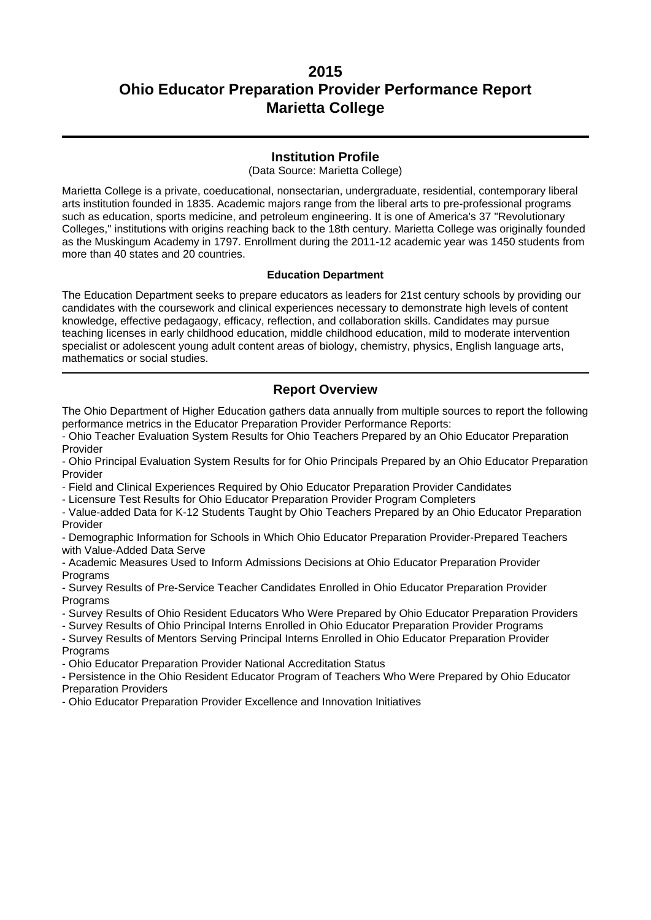### **Institution Profile**

(Data Source: Marietta College)

Marietta College is a private, coeducational, nonsectarian, undergraduate, residential, contemporary liberal arts institution founded in 1835. Academic majors range from the liberal arts to pre-professional programs such as education, sports medicine, and petroleum engineering. It is one of America's 37 "Revolutionary Colleges," institutions with origins reaching back to the 18th century. Marietta College was originally founded as the Muskingum Academy in 1797. Enrollment during the 2011-12 academic year was 1450 students from more than 40 states and 20 countries.

#### **Education Department**

The Education Department seeks to prepare educators as leaders for 21st century schools by providing our candidates with the coursework and clinical experiences necessary to demonstrate high levels of content knowledge, effective pedagaogy, efficacy, reflection, and collaboration skills. Candidates may pursue teaching licenses in early childhood education, middle childhood education, mild to moderate intervention specialist or adolescent young adult content areas of biology, chemistry, physics, English language arts, mathematics or social studies.

### **Report Overview**

The Ohio Department of Higher Education gathers data annually from multiple sources to report the following performance metrics in the Educator Preparation Provider Performance Reports:

- Ohio Teacher Evaluation System Results for Ohio Teachers Prepared by an Ohio Educator Preparation Provider

- Ohio Principal Evaluation System Results for for Ohio Principals Prepared by an Ohio Educator Preparation Provider

- Field and Clinical Experiences Required by Ohio Educator Preparation Provider Candidates

- Licensure Test Results for Ohio Educator Preparation Provider Program Completers

- Value-added Data for K-12 Students Taught by Ohio Teachers Prepared by an Ohio Educator Preparation Provider

- Demographic Information for Schools in Which Ohio Educator Preparation Provider-Prepared Teachers with Value-Added Data Serve

- Academic Measures Used to Inform Admissions Decisions at Ohio Educator Preparation Provider Programs

- Survey Results of Pre-Service Teacher Candidates Enrolled in Ohio Educator Preparation Provider **Programs** 

- Survey Results of Ohio Resident Educators Who Were Prepared by Ohio Educator Preparation Providers

- Survey Results of Ohio Principal Interns Enrolled in Ohio Educator Preparation Provider Programs

- Survey Results of Mentors Serving Principal Interns Enrolled in Ohio Educator Preparation Provider **Programs** 

- Ohio Educator Preparation Provider National Accreditation Status

- Persistence in the Ohio Resident Educator Program of Teachers Who Were Prepared by Ohio Educator Preparation Providers

- Ohio Educator Preparation Provider Excellence and Innovation Initiatives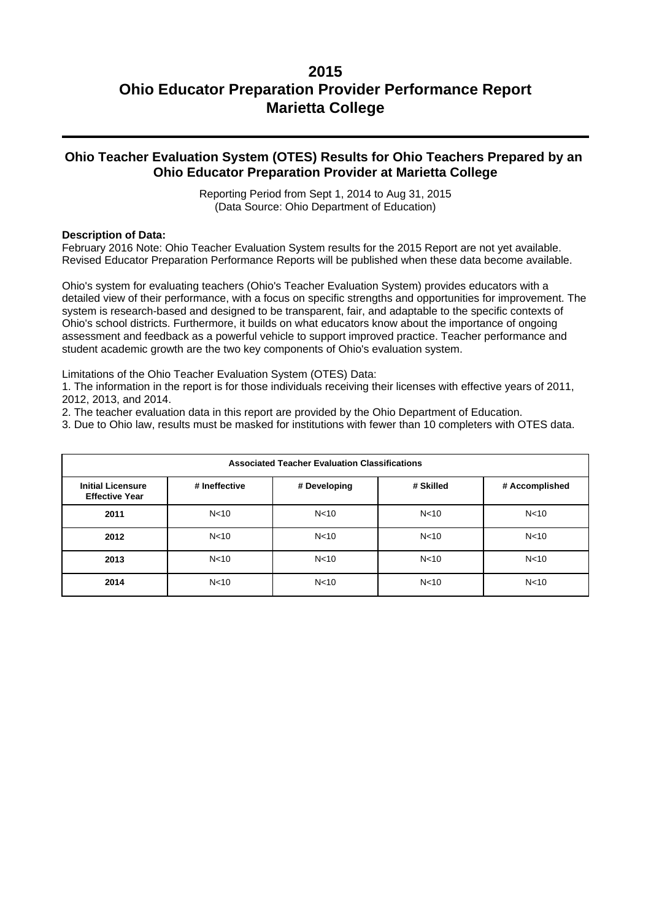## **Ohio Teacher Evaluation System (OTES) Results for Ohio Teachers Prepared by an Ohio Educator Preparation Provider at Marietta College**

Reporting Period from Sept 1, 2014 to Aug 31, 2015 (Data Source: Ohio Department of Education)

#### **Description of Data:**

February 2016 Note: Ohio Teacher Evaluation System results for the 2015 Report are not yet available. Revised Educator Preparation Performance Reports will be published when these data become available.

Ohio's system for evaluating teachers (Ohio's Teacher Evaluation System) provides educators with a detailed view of their performance, with a focus on specific strengths and opportunities for improvement. The system is research-based and designed to be transparent, fair, and adaptable to the specific contexts of Ohio's school districts. Furthermore, it builds on what educators know about the importance of ongoing assessment and feedback as a powerful vehicle to support improved practice. Teacher performance and student academic growth are the two key components of Ohio's evaluation system.

Limitations of the Ohio Teacher Evaluation System (OTES) Data:

1. The information in the report is for those individuals receiving their licenses with effective years of 2011, 2012, 2013, and 2014.

- 2. The teacher evaluation data in this report are provided by the Ohio Department of Education.
- 3. Due to Ohio law, results must be masked for institutions with fewer than 10 completers with OTES data.

| <b>Associated Teacher Evaluation Classifications</b> |                 |                 |                 |                 |  |
|------------------------------------------------------|-----------------|-----------------|-----------------|-----------------|--|
| <b>Initial Licensure</b><br><b>Effective Year</b>    | # Ineffective   | # Developing    | # Skilled       | # Accomplished  |  |
| 2011                                                 | N <sub>10</sub> | N <sub>10</sub> | N <sub>10</sub> | N <sub>10</sub> |  |
| 2012                                                 | N <sub>10</sub> | N <sub>10</sub> | N <sub>10</sub> | N <sub>10</sub> |  |
| 2013                                                 | N <sub>10</sub> | N <sub>10</sub> | N < 10          | N <sub>10</sub> |  |
| 2014                                                 | N <sub>10</sub> | N <sub>10</sub> | N <sub>10</sub> | N <sub>10</sub> |  |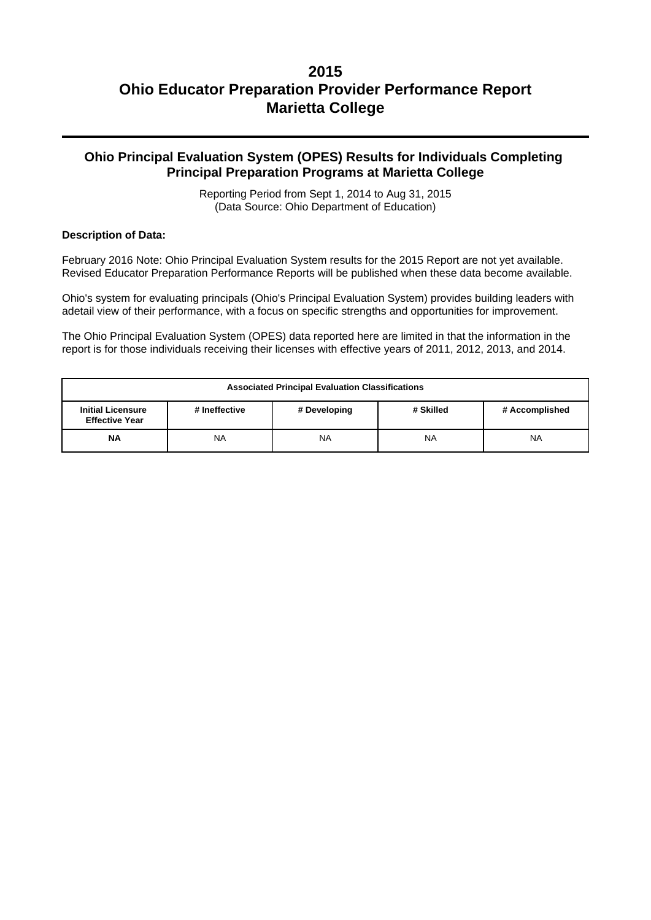## **Ohio Principal Evaluation System (OPES) Results for Individuals Completing Principal Preparation Programs at Marietta College**

Reporting Period from Sept 1, 2014 to Aug 31, 2015 (Data Source: Ohio Department of Education)

#### **Description of Data:**

February 2016 Note: Ohio Principal Evaluation System results for the 2015 Report are not yet available. Revised Educator Preparation Performance Reports will be published when these data become available.

Ohio's system for evaluating principals (Ohio's Principal Evaluation System) provides building leaders with adetail view of their performance, with a focus on specific strengths and opportunities for improvement.

The Ohio Principal Evaluation System (OPES) data reported here are limited in that the information in the report is for those individuals receiving their licenses with effective years of 2011, 2012, 2013, and 2014.

| <b>Associated Principal Evaluation Classifications</b>                                                            |           |    |           |           |  |
|-------------------------------------------------------------------------------------------------------------------|-----------|----|-----------|-----------|--|
| # Skilled<br><b>Initial Licensure</b><br># Ineffective<br># Developing<br># Accomplished<br><b>Effective Year</b> |           |    |           |           |  |
| <b>NA</b>                                                                                                         | <b>NA</b> | NA | <b>NA</b> | <b>NA</b> |  |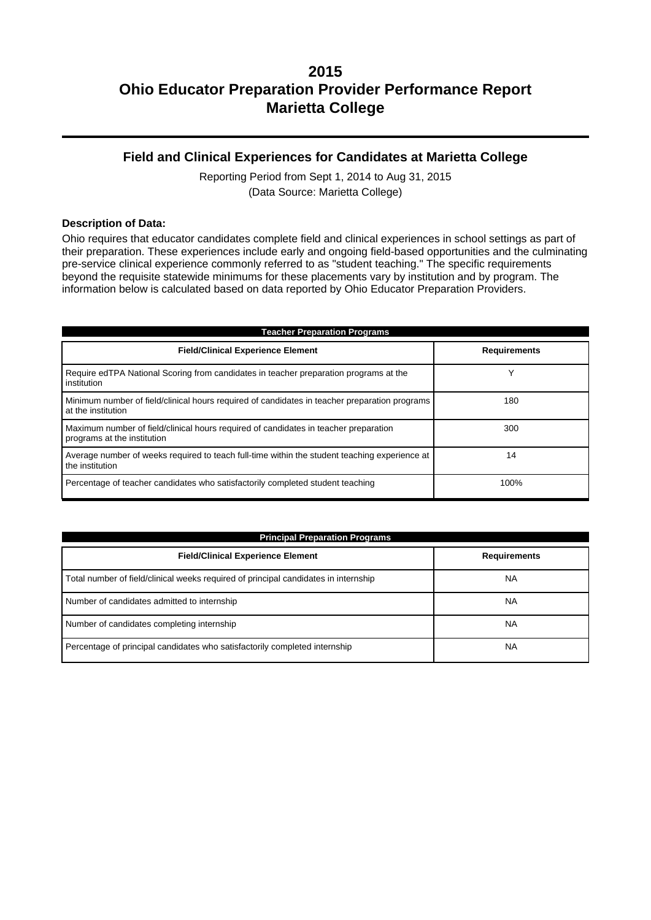## **Field and Clinical Experiences for Candidates at Marietta College**

Reporting Period from Sept 1, 2014 to Aug 31, 2015 (Data Source: Marietta College)

#### **Description of Data:**

Ohio requires that educator candidates complete field and clinical experiences in school settings as part of their preparation. These experiences include early and ongoing field-based opportunities and the culminating pre-service clinical experience commonly referred to as "student teaching." The specific requirements beyond the requisite statewide minimums for these placements vary by institution and by program. The information below is calculated based on data reported by Ohio Educator Preparation Providers.

| <b>Teacher Preparation Programs</b>                                                                                 |                     |  |  |  |
|---------------------------------------------------------------------------------------------------------------------|---------------------|--|--|--|
| <b>Field/Clinical Experience Element</b>                                                                            | <b>Requirements</b> |  |  |  |
| Require edTPA National Scoring from candidates in teacher preparation programs at the<br>institution                | v                   |  |  |  |
| Minimum number of field/clinical hours required of candidates in teacher preparation programs<br>at the institution | 180                 |  |  |  |
| Maximum number of field/clinical hours required of candidates in teacher preparation<br>programs at the institution | 300                 |  |  |  |
| Average number of weeks required to teach full-time within the student teaching experience at<br>the institution    | 14                  |  |  |  |
| Percentage of teacher candidates who satisfactorily completed student teaching                                      | 100%                |  |  |  |

| <b>Principal Preparation Programs</b>                                               |                     |  |  |  |
|-------------------------------------------------------------------------------------|---------------------|--|--|--|
| <b>Field/Clinical Experience Element</b>                                            | <b>Requirements</b> |  |  |  |
| Total number of field/clinical weeks required of principal candidates in internship | <b>NA</b>           |  |  |  |
| Number of candidates admitted to internship                                         | <b>NA</b>           |  |  |  |
| Number of candidates completing internship                                          | <b>NA</b>           |  |  |  |
| Percentage of principal candidates who satisfactorily completed internship          | <b>NA</b>           |  |  |  |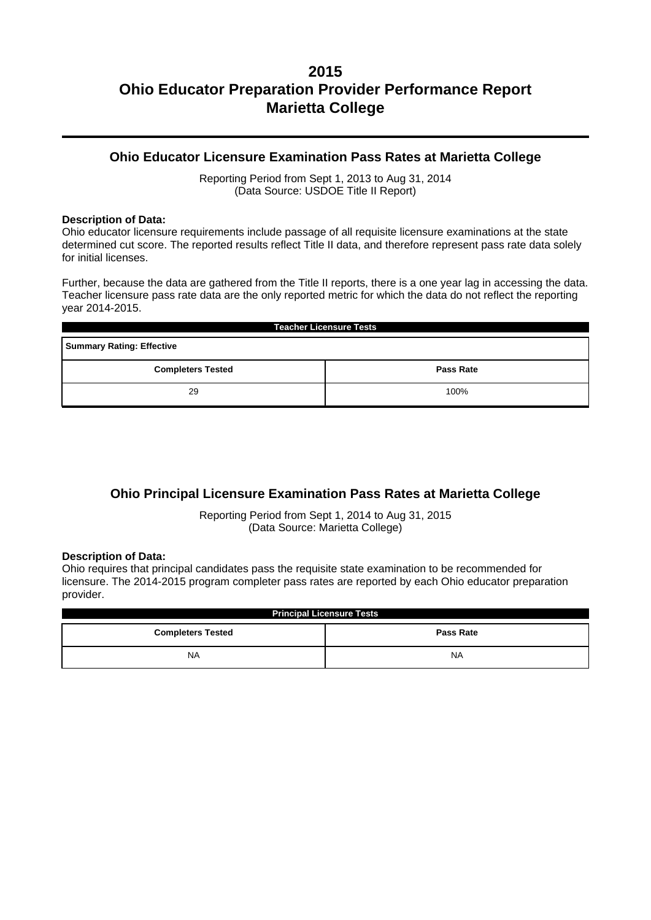### **Ohio Educator Licensure Examination Pass Rates at Marietta College**

Reporting Period from Sept 1, 2013 to Aug 31, 2014 (Data Source: USDOE Title II Report)

#### **Description of Data:**

Ohio educator licensure requirements include passage of all requisite licensure examinations at the state determined cut score. The reported results reflect Title II data, and therefore represent pass rate data solely for initial licenses.

Further, because the data are gathered from the Title II reports, there is a one year lag in accessing the data. Teacher licensure pass rate data are the only reported metric for which the data do not reflect the reporting year 2014-2015.

| <b>Teacher Licensure Tests</b>               |  |  |  |  |
|----------------------------------------------|--|--|--|--|
| <b>Summary Rating: Effective</b>             |  |  |  |  |
| <b>Completers Tested</b><br><b>Pass Rate</b> |  |  |  |  |
| 29<br>100%                                   |  |  |  |  |

## **Ohio Principal Licensure Examination Pass Rates at Marietta College**

Reporting Period from Sept 1, 2014 to Aug 31, 2015 (Data Source: Marietta College)

#### **Description of Data:**

Ohio requires that principal candidates pass the requisite state examination to be recommended for licensure. The 2014-2015 program completer pass rates are reported by each Ohio educator preparation provider.

| <b>Principal Licensure Tests</b>             |           |  |  |  |
|----------------------------------------------|-----------|--|--|--|
| <b>Completers Tested</b><br><b>Pass Rate</b> |           |  |  |  |
| <b>NA</b>                                    | <b>NA</b> |  |  |  |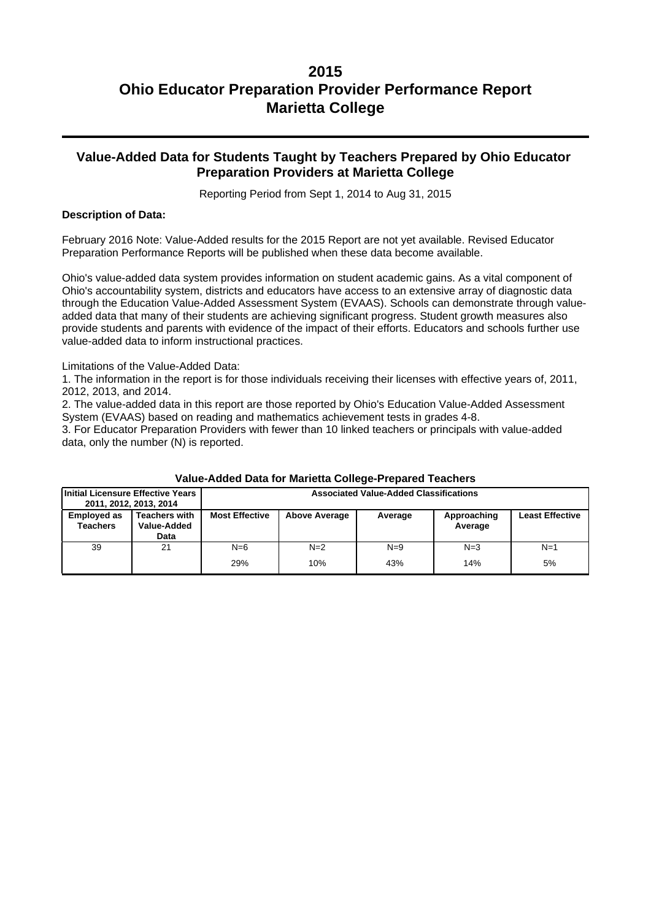### **Value-Added Data for Students Taught by Teachers Prepared by Ohio Educator Preparation Providers at Marietta College**

Reporting Period from Sept 1, 2014 to Aug 31, 2015

#### **Description of Data:**

February 2016 Note: Value-Added results for the 2015 Report are not yet available. Revised Educator Preparation Performance Reports will be published when these data become available.

Ohio's value-added data system provides information on student academic gains. As a vital component of Ohio's accountability system, districts and educators have access to an extensive array of diagnostic data through the Education Value-Added Assessment System (EVAAS). Schools can demonstrate through valueadded data that many of their students are achieving significant progress. Student growth measures also provide students and parents with evidence of the impact of their efforts. Educators and schools further use value-added data to inform instructional practices.

Limitations of the Value-Added Data:

1. The information in the report is for those individuals receiving their licenses with effective years of, 2011, 2012, 2013, and 2014.

2. The value-added data in this report are those reported by Ohio's Education Value-Added Assessment System (EVAAS) based on reading and mathematics achievement tests in grades 4-8.

3. For Educator Preparation Providers with fewer than 10 linked teachers or principals with value-added data, only the number (N) is reported.

| Initial Licensure Effective Years     | 2011, 2012, 2013, 2014                      | <b>Associated Value-Added Classifications</b> |                      |         |                        |                        |
|---------------------------------------|---------------------------------------------|-----------------------------------------------|----------------------|---------|------------------------|------------------------|
| <b>Employed as</b><br><b>Teachers</b> | <b>Teachers with</b><br>Value-Added<br>Data | <b>Most Effective</b>                         | <b>Above Average</b> | Average | Approaching<br>Average | <b>Least Effective</b> |
| 39                                    | 21                                          | $N=6$                                         | $N=2$                | $N=9$   | $N=3$                  | $N=1$                  |
|                                       |                                             | 29%                                           | 10%                  | 43%     | 14%                    | 5%                     |

#### **Value-Added Data for Marietta College-Prepared Teachers**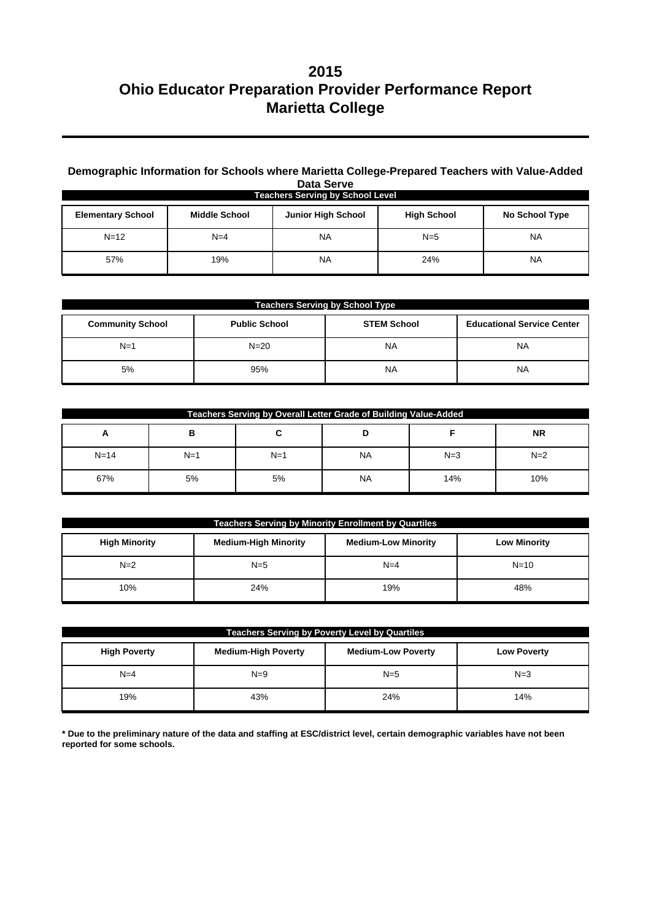### **Demographic Information for Schools where Marietta College-Prepared Teachers with Value-Added Data Serve**

| <b>Teachers Serving by School Level</b> |                      |                           |                    |                |  |
|-----------------------------------------|----------------------|---------------------------|--------------------|----------------|--|
| <b>Elementary School</b>                | <b>Middle School</b> | <b>Junior High School</b> | <b>High School</b> | No School Type |  |
| $N = 12$                                | $N=4$                | <b>NA</b>                 | $N=5$              | <b>NA</b>      |  |
| 57%                                     | 19%                  | <b>NA</b>                 | 24%                | <b>NA</b>      |  |

| <b>Teachers Serving by School Type</b> |                      |                    |                                   |  |  |
|----------------------------------------|----------------------|--------------------|-----------------------------------|--|--|
| <b>Community School</b>                | <b>Public School</b> | <b>STEM School</b> | <b>Educational Service Center</b> |  |  |
| $N=1$                                  | $N = 20$             | <b>NA</b>          | <b>NA</b>                         |  |  |
| 5%                                     | 95%                  | <b>NA</b>          | <b>NA</b>                         |  |  |

| Teachers Serving by Overall Letter Grade of Building Value-Added |       |       |           |       |           |
|------------------------------------------------------------------|-------|-------|-----------|-------|-----------|
| A                                                                | в     | ີ     |           |       | <b>NR</b> |
| $N = 14$                                                         | $N=1$ | $N=1$ | <b>NA</b> | $N=3$ | $N=2$     |
| 67%                                                              | 5%    | 5%    | <b>NA</b> | 14%   | 10%       |

| <b>Teachers Serving by Minority Enrollment by Quartiles</b> |                             |                            |                     |  |  |
|-------------------------------------------------------------|-----------------------------|----------------------------|---------------------|--|--|
| <b>High Minority</b>                                        | <b>Medium-High Minority</b> | <b>Medium-Low Minority</b> | <b>Low Minority</b> |  |  |
| $N=2$                                                       | $N=5$                       | $N=4$                      | $N = 10$            |  |  |
| 10%                                                         | 24%                         | 19%                        | 48%                 |  |  |

| <b>Teachers Serving by Poverty Level by Quartiles</b> |                            |                           |                    |  |  |
|-------------------------------------------------------|----------------------------|---------------------------|--------------------|--|--|
| <b>High Poverty</b>                                   | <b>Medium-High Poverty</b> | <b>Medium-Low Poverty</b> | <b>Low Poverty</b> |  |  |
| $N=4$                                                 | $N=9$                      | $N=5$                     | $N=3$              |  |  |
| 19%                                                   | 43%                        | 24%                       | 14%                |  |  |

**\* Due to the preliminary nature of the data and staffing at ESC/district level, certain demographic variables have not been reported for some schools.**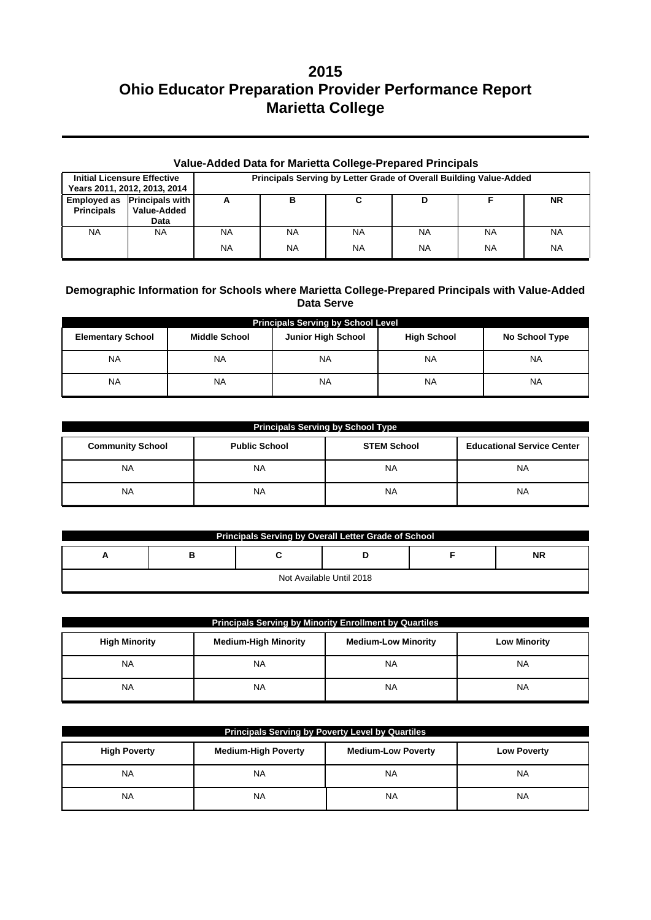| Value-Added Data for Marietta College-Prepared Principals |                                                    |                                                                    |           |           |           |           |           |
|-----------------------------------------------------------|----------------------------------------------------|--------------------------------------------------------------------|-----------|-----------|-----------|-----------|-----------|
| <b>Initial Licensure Effective</b>                        | Years 2011, 2012, 2013, 2014                       | Principals Serving by Letter Grade of Overall Building Value-Added |           |           |           |           |           |
| <b>Principals</b>                                         | Employed as Principals with<br>Value-Added<br>Data | А                                                                  | в         | С         | D         |           | <b>NR</b> |
| <b>NA</b>                                                 | <b>NA</b>                                          | NA                                                                 | <b>NA</b> | <b>NA</b> | <b>NA</b> | <b>NA</b> | <b>NA</b> |
|                                                           |                                                    | <b>NA</b>                                                          | <b>NA</b> | <b>NA</b> | <b>NA</b> | NA        | <b>NA</b> |

### **Demographic Information for Schools where Marietta College-Prepared Principals with Value-Added Data Serve**

| <b>Principals Serving by School Level</b> |                                                   |           |                    |                |  |  |  |  |
|-------------------------------------------|---------------------------------------------------|-----------|--------------------|----------------|--|--|--|--|
| <b>Elementary School</b>                  | <b>Junior High School</b><br><b>Middle School</b> |           | <b>High School</b> | No School Type |  |  |  |  |
| NA                                        | <b>NA</b>                                         | <b>NA</b> | ΝA                 | <b>NA</b>      |  |  |  |  |
| NA                                        | <b>NA</b>                                         | <b>NA</b> | ΝA                 | <b>NA</b>      |  |  |  |  |

| Principals Serving by School Type |                      |                    |                                   |  |  |  |
|-----------------------------------|----------------------|--------------------|-----------------------------------|--|--|--|
| <b>Community School</b>           | <b>Public School</b> | <b>STEM School</b> | <b>Educational Service Center</b> |  |  |  |
| <b>NA</b>                         | NA.                  | <b>NA</b>          | <b>NA</b>                         |  |  |  |
| <b>NA</b>                         | NA                   | <b>NA</b>          | ΝA                                |  |  |  |

| Principals Serving by Overall Letter Grade of School |   |  |  |  |           |  |  |
|------------------------------------------------------|---|--|--|--|-----------|--|--|
| n                                                    | в |  |  |  | <b>NR</b> |  |  |
| Not Available Until 2018                             |   |  |  |  |           |  |  |

| <b>Principals Serving by Minority Enrollment by Quartiles</b>                                            |           |           |           |  |  |  |
|----------------------------------------------------------------------------------------------------------|-----------|-----------|-----------|--|--|--|
| <b>Medium-High Minority</b><br><b>Medium-Low Minority</b><br><b>High Minority</b><br><b>Low Minority</b> |           |           |           |  |  |  |
| <b>NA</b>                                                                                                | <b>NA</b> | <b>NA</b> | <b>NA</b> |  |  |  |
| <b>NA</b>                                                                                                | <b>NA</b> | <b>NA</b> | <b>NA</b> |  |  |  |

| <b>Principals Serving by Poverty Level by Quartiles</b>                                              |           |           |           |  |  |  |
|------------------------------------------------------------------------------------------------------|-----------|-----------|-----------|--|--|--|
| <b>Medium-High Poverty</b><br><b>Medium-Low Poverty</b><br><b>High Poverty</b><br><b>Low Poverty</b> |           |           |           |  |  |  |
| <b>NA</b>                                                                                            | <b>NA</b> | <b>NA</b> | <b>NA</b> |  |  |  |
| <b>NA</b>                                                                                            | <b>NA</b> | <b>NA</b> | <b>NA</b> |  |  |  |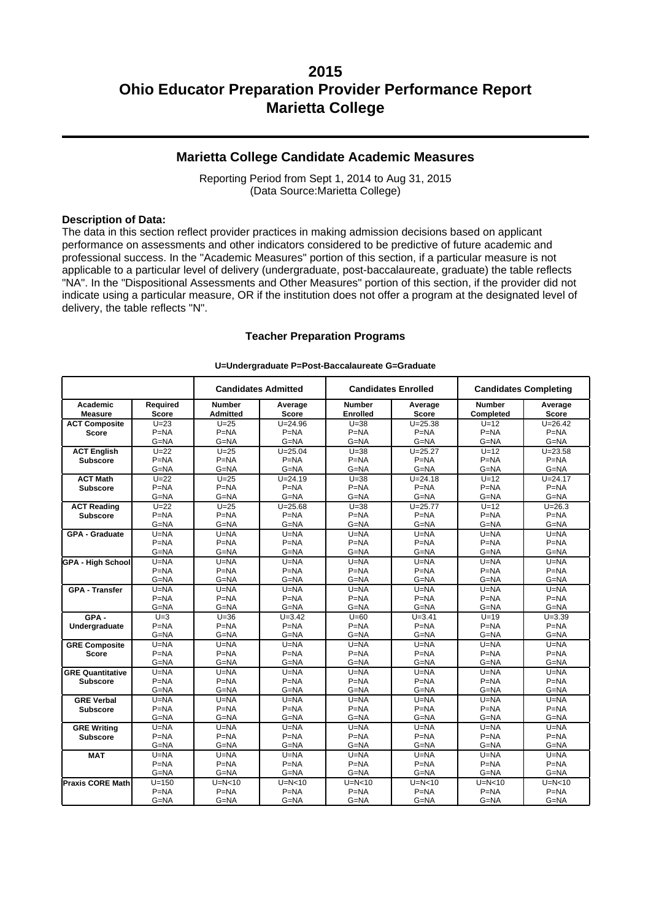### **Marietta College Candidate Academic Measures**

Reporting Period from Sept 1, 2014 to Aug 31, 2015 (Data Source:Marietta College)

#### **Description of Data:**

The data in this section reflect provider practices in making admission decisions based on applicant performance on assessments and other indicators considered to be predictive of future academic and professional success. In the "Academic Measures" portion of this section, if a particular measure is not applicable to a particular level of delivery (undergraduate, post-baccalaureate, graduate) the table reflects "NA". In the "Dispositional Assessments and Other Measures" portion of this section, if the provider did not indicate using a particular measure, OR if the institution does not offer a program at the designated level of delivery, the table reflects "N".

#### **Teacher Preparation Programs**

|                            |                   |                                  | <b>Candidates Admitted</b><br><b>Candidates Enrolled</b> |                                  |                         |                            | <b>Candidates Completing</b> |
|----------------------------|-------------------|----------------------------------|----------------------------------------------------------|----------------------------------|-------------------------|----------------------------|------------------------------|
| Academic<br><b>Measure</b> | Required<br>Score | <b>Number</b><br><b>Admitted</b> | Average<br><b>Score</b>                                  | <b>Number</b><br><b>Enrolled</b> | Average<br><b>Score</b> | <b>Number</b><br>Completed | Average<br><b>Score</b>      |
| <b>ACT Composite</b>       | $U=23$            | $U=25$                           | $U = 24.96$                                              | $U=38$                           | $U = 25.38$             | $U=12$                     | $U = 26.42$                  |
| Score                      | $P = NA$          | $P=NA$                           | $P = NA$                                                 | $P = NA$                         | $P=NA$                  | $P=NA$                     | $P = NA$                     |
|                            | $G = NA$          | $G = NA$                         | $G = NA$                                                 | $G = NA$                         | $G = NA$                | $G = NA$                   | $G = NA$                     |
| <b>ACT English</b>         | $U=22$            | $U=25$                           | $U = 25.04$                                              | $U = 38$                         | $U = 25.27$             | $U=12$                     | $U = 23.58$                  |
| <b>Subscore</b>            | $P=NA$            | $P=NA$                           | $P=NA$                                                   | $P=NA$                           | $P = NA$                | $P=NA$                     | $P=NA$                       |
|                            | $G = NA$          | $G = NA$                         | $G = NA$                                                 | $G = NA$                         | $G = NA$                | $G = NA$                   | $G = NA$                     |
| <b>ACT Math</b>            | $U=22$            | $U=25$                           | $U = 24.19$                                              | $U = 38$                         | $U = 24.18$             | $U=12$                     | $U = 24.17$                  |
| <b>Subscore</b>            | $P = NA$          | $P=NA$                           | $P = NA$                                                 | $P = NA$                         | $P=NA$                  | $P=NA$                     | $P = NA$                     |
|                            | $G = NA$          | $G = NA$                         | $G = NA$                                                 | $G = NA$                         | $G = NA$                | $G = NA$                   | $G = NA$                     |
| <b>ACT Reading</b>         | $U=22$            | $U=25$                           | $U = 25.68$                                              | $U = 38$                         | $U = 25.77$             | $U=12$                     | $U = 26.3$                   |
| <b>Subscore</b>            | $P = NA$          | $P = NA$                         | $P = NA$                                                 | $P=NA$                           | $P=NA$                  | $P = NA$                   | $P = NA$                     |
|                            | $G = NA$          | $G = NA$                         | $G = NA$                                                 | $G = NA$                         | $G = NA$                | $G = NA$                   | $G = NA$                     |
| <b>GPA - Graduate</b>      | $U = NA$          | $U=NA$                           | $U = NA$                                                 | $U = NA$                         | $U=NA$                  | $U=NA$                     | $U = NA$                     |
|                            | $P = NA$          | $P=NA$                           | $P=NA$                                                   | $P = NA$                         | $P=NA$                  | $P=NA$                     | $P=NA$                       |
|                            | $G = NA$          | $G = NA$                         | $G = NA$                                                 | $G = NA$                         | $G = NA$                | $G = NA$                   | $G = NA$                     |
| <b>GPA - High School</b>   | $U = NA$          | $U = NA$                         | $U = NA$                                                 | $U = NA$                         | $U=NA$                  | $U=NA$                     | $U = NA$                     |
|                            | $P = NA$          | $P=NA$                           | $P=NA$                                                   | $P=NA$                           | $P = NA$                | $P=NA$                     | $P=NA$                       |
|                            | $G = NA$          | $G = NA$                         | $G = NA$                                                 | $G = NA$                         | $G = NA$                | $G = NA$                   | $G = NA$                     |
| <b>GPA - Transfer</b>      | $U=NA$            | $U=NA$                           | $U=NA$                                                   | $U = NA$                         | $U=NA$                  | $U=NA$                     | $U=NA$                       |
|                            | $P = NA$          | $P = NA$                         | $P=NA$                                                   | $P = NA$                         | $P = NA$                | $P=NA$                     | $P=NA$                       |
|                            | $G = NA$          | $G = NA$                         | $G = NA$                                                 | $G = NA$                         | $G = NA$                | $G = NA$                   | $G = NA$                     |
| GPA-                       | $U=3$             | $U=36$                           | $\overline{U}$ =3.42                                     | $\overline{U}$ =60               | $U = 3.41$              | $U=19$                     | $U = 3.39$                   |
| Undergraduate              | $P=NA$            | $P=NA$                           | $P = NA$                                                 | $P = NA$                         | $P=NA$                  | $P = NA$                   | $P = NA$                     |
|                            | $G = NA$          | $G = NA$                         | $G = NA$                                                 | $G = NA$                         | $G = NA$                | $G = NA$                   | $G = NA$                     |
| <b>GRE Composite</b>       | $U = NA$          | $U = NA$                         | $U = NA$                                                 | $U = NA$                         | $U=NA$                  | $U=NA$                     | $U = NA$                     |
| Score                      | $P = NA$          | $P=NA$                           | $P = NA$                                                 | $P = NA$                         | $P = NA$                | $P=NA$                     | $P=NA$                       |
|                            | $G = NA$          | $G = NA$                         | $G = NA$                                                 | $G = NA$                         | $G = NA$                | $G = NA$                   | $G = NA$                     |
| <b>GRE Quantitative</b>    | $U = NA$          | $U = NA$                         | $U = NA$                                                 | $U = NA$                         | $U = NA$                | $U=NA$                     | $U = NA$                     |
| <b>Subscore</b>            | $P = NA$          | $P = NA$                         | $P = NA$                                                 | $P = NA$                         | $P = NA$                | $P=NA$                     | $P = NA$                     |
|                            | $G = NA$          | $G = NA$                         | G=NA                                                     | $G = NA$                         | $G = NA$                | $G = NA$                   | $G = NA$                     |
| <b>GRE Verbal</b>          | $U = NA$          | $U = NA$                         | $U = NA$                                                 | $U = NA$                         | $U = NA$                | $U=NA$                     | $U = NA$                     |
| <b>Subscore</b>            | $P=NA$            | $P = NA$                         | $P=NA$                                                   | $P = NA$                         | $P = NA$                | $P=NA$                     | $P=NA$                       |
|                            | G=NA              | G=NA                             | $G = NA$                                                 | G=NA                             | $G = NA$                | G=NA                       | G=NA                         |
| <b>GRE Writing</b>         | $U = NA$          | $U = NA$                         | $U = NA$                                                 | $U = NA$                         | $U=NA$                  | $U=NA$                     | $U = NA$                     |
| <b>Subscore</b>            | $P = NA$          | $P=NA$                           | $P=NA$                                                   | $P = NA$                         | $P = NA$                | $P=NA$                     | $P = NA$                     |
|                            | $G = NA$          | $G = NA$                         | $G = NA$                                                 | $G = NA$                         | $G = NA$                | $G = NA$                   | $G = NA$                     |
| <b>MAT</b>                 | $U = NA$          | $U = NA$                         | $U = NA$                                                 | $U = NA$                         | $U = NA$                | $U=NA$                     | $U = NA$                     |
|                            | $P = NA$          | $P=NA$                           | $P = NA$                                                 | $P = NA$                         | $P = NA$                | $P=NA$                     | $P = NA$                     |
|                            | G=NA              | G=NA                             | $G = NA$                                                 | $G = NA$                         | $G = NA$                | $G = NA$                   | $G = NA$                     |
| <b>Praxis CORE Math</b>    | $U = 150$         | $U=N<10$                         | $U=N<10$                                                 | $U=N<10$                         | $U=N<10$                | $U=N<10$                   | $U=N<10$                     |
|                            | $P = NA$          | $P=NA$                           | $P=NA$                                                   | $P = NA$                         | $P = NA$                | $P=NA$                     | $P = NA$                     |
|                            | $G = NA$          | $G = NA$                         | $G = NA$                                                 | $G = NA$                         | $G = NA$                | $G = NA$                   | $G = NA$                     |

#### **U=Undergraduate P=Post-Baccalaureate G=Graduate**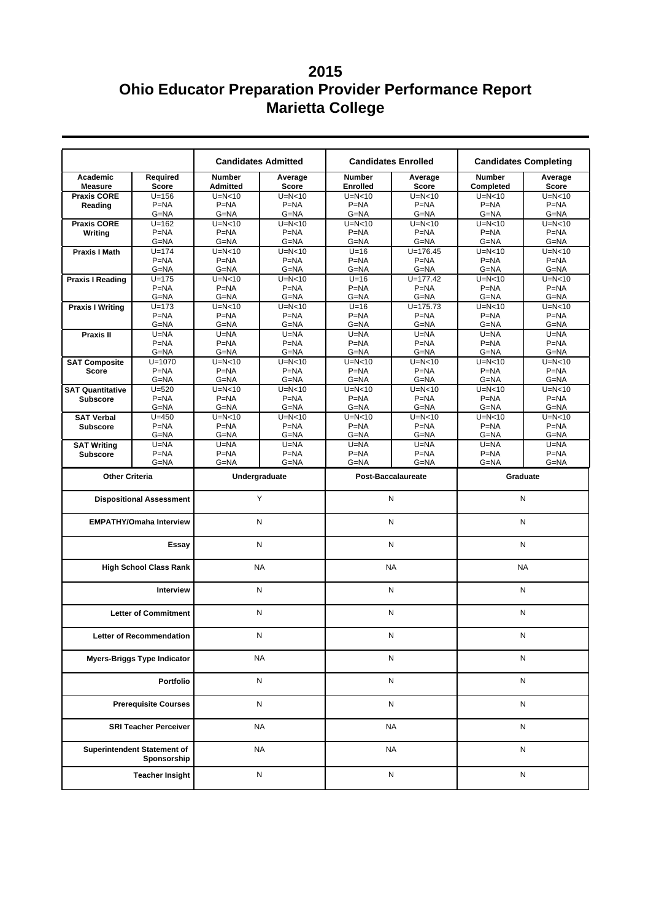|                             |                                            |                                  | <b>Candidates Admitted</b><br><b>Candidates Enrolled</b> |                                  | <b>Candidates Completing</b> |                                   |                  |
|-----------------------------|--------------------------------------------|----------------------------------|----------------------------------------------------------|----------------------------------|------------------------------|-----------------------------------|------------------|
| Academic<br><b>Measure</b>  | Required<br><b>Score</b>                   | <b>Number</b><br><b>Admitted</b> | Average<br><b>Score</b>                                  | <b>Number</b><br><b>Enrolled</b> | Average<br><b>Score</b>      | <b>Number</b><br><b>Completed</b> | Average<br>Score |
| <b>Praxis CORE</b>          | $U = 156$                                  | $U=N<10$                         | $U=N<10$                                                 | $U=N<10$                         | $U=N<10$                     | $U=N<10$                          | $U=N<10$         |
| Reading                     | $P=NA$                                     | $P = NA$                         | $P = NA$                                                 | $P = NA$                         | $P = NA$                     | $P = NA$                          | $P=NA$           |
|                             | $G = NA$                                   | $G = NA$                         | G=NA                                                     | $G = NA$                         | $G = NA$                     | G=NA                              | G=NA             |
| <b>Praxis CORE</b>          | $U = 162$                                  | $U=N<10$                         | $U=N<10$                                                 | $U=N<10$                         | $U=N<10$                     | $U=N<10$                          | $U=N<10$         |
|                             | $P=NA$                                     | $P = NA$                         | $P=NA$                                                   | $P = NA$                         | $P = NA$                     | $P = NA$                          | $P=NA$           |
| Writing                     | G=NA                                       | $G = NA$                         | $G = NA$                                                 | $G = NA$                         | $G = NA$                     | $G = NA$                          | $G = NA$         |
|                             | $U = 174$                                  |                                  | $U=N<10$                                                 | $U=16$                           | $U = 176.45$                 | $U=N<10$                          | $U=N<10$         |
| <b>Praxis I Math</b>        | $P=NA$                                     | $U=N<10$<br>$P=NA$               | $P=NA$                                                   | $P = NA$                         | $P = NA$                     | $P = NA$                          | $P=NA$           |
|                             |                                            |                                  |                                                          |                                  |                              |                                   |                  |
|                             | G=NA                                       | G=NA                             | G=NA                                                     | $G = NA$                         | $G = NA$                     | G=NA                              | G=NA             |
| <b>Praxis I Reading</b>     | $U = 175$                                  | $U=N<10$                         | $U=N<10$                                                 | $U=16$                           | $U = 177.42$                 | $U=N<10$                          | $U=N<10$         |
|                             | $P=NA$                                     | $P=NA$                           | $P=NA$                                                   | $P = NA$                         | $P = NA$                     | $P = NA$                          | $P=NA$           |
|                             | G=NA                                       | $G = NA$                         | $G = NA$                                                 | $G = NA$                         | $G = NA$                     | G=NA                              | G=NA             |
| <b>Praxis I Writing</b>     | $U = 173$                                  | $U=N<10$                         | $U=N<10$                                                 | $U=16$                           | $U = 175.73$                 | $U=N<10$                          | $U=N<10$         |
|                             | $P=NA$                                     | $P = NA$                         | $P = NA$                                                 | $P = NA$                         | $P = NA$                     | $P = NA$                          | $P=NA$           |
|                             | $G = NA$                                   | G=NA                             | $G = NA$                                                 | G=NA                             | $G = NA$                     | $G = NA$                          | G=NA             |
| Praxis II                   | U=NA                                       | $U = NA$                         | $U = NA$                                                 | $U = NA$                         | $U = NA$                     | $U = NA$                          | $U = NA$         |
|                             | $P=NA$                                     | $P = NA$                         | $P = NA$                                                 | $P = NA$                         | $P = NA$                     | $P = NA$                          | $P=NA$           |
|                             | G=NA                                       | $G = NA$                         | $G = NA$                                                 | $G = NA$                         | $G = NA$                     | $G = NA$                          | G=NA             |
| <b>SAT Composite</b>        | $U = 1070$                                 | $U=N<10$                         | $U=N<10$                                                 | $U=N10$                          | $U=N<10$                     | $U=N<10$                          | $U=N<10$         |
| <b>Score</b>                | $P = NA$                                   | $P = NA$                         | $P = NA$                                                 | $P = NA$                         | $P = NA$                     | $P = NA$                          | $P=NA$           |
|                             | G=NA                                       | $G = NA$                         | $G = NA$                                                 | $G = NA$                         | $G = NA$                     | $G = NA$                          | G=NA             |
| <b>SAT Quantitative</b>     | $U = 520$                                  | $U=N<10$                         | $U=N<10$                                                 | $U=N<10$                         | $U=N<10$                     | $U=N<10$                          | $U=N<10$         |
| <b>Subscore</b>             | $P=NA$                                     | $P = NA$                         | $P = NA$                                                 | $P = NA$                         | $P = NA$                     | $P = NA$                          | $P=NA$           |
|                             | G=NA                                       | G=NA                             | G=NA                                                     | G=NA                             | $G = NA$                     | G=NA                              | G=NA             |
| <b>SAT Verbal</b>           | $U = 450$                                  | $U=N<10$                         | $U=N<10$                                                 | $U=N<10$                         | $U=N<10$                     | $U=N<10$                          | $U=N<10$         |
| <b>Subscore</b>             | $P = NA$                                   | $P = NA$                         | $P = NA$                                                 | $P = NA$                         | $P = NA$                     | $P = NA$                          | $P = NA$         |
|                             | G=NA                                       | $G = NA$                         | $G = NA$                                                 | $G = NA$                         | $G = NA$                     | $G = NA$                          | G=NA             |
| <b>SAT Writing</b>          | $U = NA$                                   | $U = NA$                         | U=NA                                                     | $U = NA$                         | $U = NA$                     | $U=NA$                            | $U = NA$         |
| <b>Subscore</b>             | $P = NA$                                   | $P = NA$                         | $P = NA$                                                 | $P = NA$                         | $P = NA$                     | $P = NA$                          | $P=NA$           |
|                             | G=NA                                       | $G = NA$                         | G=NA                                                     | $G = NA$                         | G=NA                         | $G = NA$                          | G=NA             |
| <b>Other Criteria</b>       |                                            | Undergraduate                    |                                                          | Post-Baccalaureate               |                              | Graduate                          |                  |
|                             |                                            |                                  |                                                          | N                                |                              | N                                 |                  |
|                             | <b>Dispositional Assessment</b>            | Y                                |                                                          |                                  |                              |                                   |                  |
|                             | <b>EMPATHY/Omaha Interview</b>             | N                                |                                                          | ${\sf N}$                        |                              | N                                 |                  |
|                             | Essay                                      | N                                |                                                          | N                                |                              | N                                 |                  |
|                             | <b>High School Class Rank</b>              | <b>NA</b>                        |                                                          | <b>NA</b>                        |                              | <b>NA</b>                         |                  |
|                             | <b>Interview</b>                           |                                  | N                                                        | ${\sf N}$                        |                              | N                                 |                  |
|                             | <b>Letter of Commitment</b>                |                                  | Ν                                                        | N                                |                              | N                                 |                  |
|                             | Letter of Recommendation                   |                                  | N                                                        | Ν                                |                              | Ν                                 |                  |
|                             | <b>Myers-Briggs Type Indicator</b>         |                                  | <b>NA</b>                                                |                                  | N                            | N                                 |                  |
|                             |                                            |                                  |                                                          |                                  |                              |                                   |                  |
| Portfolio                   |                                            |                                  | N                                                        |                                  | N                            | N                                 |                  |
| <b>Prerequisite Courses</b> |                                            |                                  | N                                                        |                                  | N                            | N                                 |                  |
|                             | <b>SRI Teacher Perceiver</b>               |                                  | <b>NA</b>                                                | <b>NA</b>                        |                              | N                                 |                  |
|                             | Superintendent Statement of<br>Sponsorship |                                  | <b>NA</b>                                                | <b>NA</b>                        |                              | ${\sf N}$                         |                  |
|                             | <b>Teacher Insight</b>                     |                                  | N                                                        | $\mathsf{N}$                     |                              | ${\sf N}$                         |                  |
|                             |                                            |                                  |                                                          |                                  |                              |                                   |                  |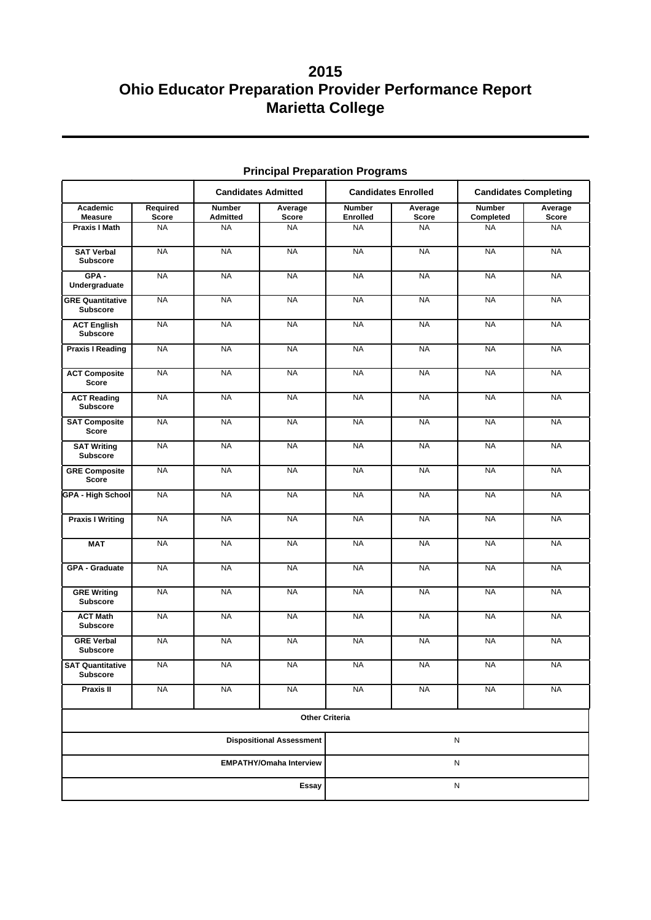|                                            |                          | <b>Candidates Admitted</b>       |                                 | <b>Candidates Enrolled</b>       |                  | <b>Candidates Completing</b> |                  |
|--------------------------------------------|--------------------------|----------------------------------|---------------------------------|----------------------------------|------------------|------------------------------|------------------|
| Academic<br><b>Measure</b>                 | Required<br><b>Score</b> | <b>Number</b><br><b>Admitted</b> | Average<br><b>Score</b>         | <b>Number</b><br><b>Enrolled</b> | Average<br>Score | <b>Number</b><br>Completed   | Average<br>Score |
| <b>Praxis I Math</b>                       | NA                       | <b>NA</b>                        | <b>NA</b>                       | <b>NA</b>                        | NA               | <b>NA</b>                    | <b>NA</b>        |
| <b>SAT Verbal</b><br><b>Subscore</b>       | <b>NA</b>                | <b>NA</b>                        | <b>NA</b>                       | <b>NA</b>                        | <b>NA</b>        | <b>NA</b>                    | <b>NA</b>        |
| GPA-<br>Undergraduate                      | <b>NA</b>                | <b>NA</b>                        | <b>NA</b>                       | <b>NA</b>                        | <b>NA</b>        | <b>NA</b>                    | <b>NA</b>        |
| <b>GRE Quantitative</b><br><b>Subscore</b> | <b>NA</b>                | <b>NA</b>                        | <b>NA</b>                       | <b>NA</b>                        | <b>NA</b>        | <b>NA</b>                    | <b>NA</b>        |
| <b>ACT English</b><br><b>Subscore</b>      | <b>NA</b>                | <b>NA</b>                        | <b>NA</b>                       | <b>NA</b>                        | <b>NA</b>        | <b>NA</b>                    | <b>NA</b>        |
| <b>Praxis I Reading</b>                    | <b>NA</b>                | <b>NA</b>                        | <b>NA</b>                       | <b>NA</b>                        | <b>NA</b>        | <b>NA</b>                    | <b>NA</b>        |
| <b>ACT Composite</b><br><b>Score</b>       | <b>NA</b>                | <b>NA</b>                        | <b>NA</b>                       | <b>NA</b>                        | <b>NA</b>        | <b>NA</b>                    | <b>NA</b>        |
| <b>ACT Reading</b><br><b>Subscore</b>      | <b>NA</b>                | <b>NA</b>                        | <b>NA</b>                       | <b>NA</b>                        | <b>NA</b>        | <b>NA</b>                    | <b>NA</b>        |
| <b>SAT Composite</b><br>Score              | <b>NA</b>                | <b>NA</b>                        | <b>NA</b>                       | <b>NA</b>                        | <b>NA</b>        | <b>NA</b>                    | <b>NA</b>        |
| <b>SAT Writing</b><br><b>Subscore</b>      | <b>NA</b>                | <b>NA</b>                        | <b>NA</b>                       | <b>NA</b>                        | <b>NA</b>        | <b>NA</b>                    | <b>NA</b>        |
| <b>GRE Composite</b><br><b>Score</b>       | <b>NA</b>                | <b>NA</b>                        | <b>NA</b>                       | <b>NA</b>                        | <b>NA</b>        | <b>NA</b>                    | <b>NA</b>        |
| <b>GPA - High School</b>                   | <b>NA</b>                | <b>NA</b>                        | <b>NA</b>                       | <b>NA</b>                        | <b>NA</b>        | <b>NA</b>                    | <b>NA</b>        |
| <b>Praxis I Writing</b>                    | <b>NA</b>                | <b>NA</b>                        | <b>NA</b>                       | <b>NA</b>                        | <b>NA</b>        | <b>NA</b>                    | <b>NA</b>        |
| <b>MAT</b>                                 | <b>NA</b>                | <b>NA</b>                        | <b>NA</b>                       | <b>NA</b>                        | <b>NA</b>        | <b>NA</b>                    | <b>NA</b>        |
| GPA - Graduate                             | <b>NA</b>                | <b>NA</b>                        | <b>NA</b>                       | <b>NA</b>                        | <b>NA</b>        | <b>NA</b>                    | <b>NA</b>        |
| <b>GRE Writing</b><br><b>Subscore</b>      | <b>NA</b>                | <b>NA</b>                        | <b>NA</b>                       | <b>NA</b>                        | <b>NA</b>        | <b>NA</b>                    | <b>NA</b>        |
| <b>ACT Math</b><br><b>Subscore</b>         | <b>NA</b>                | <b>NA</b>                        | <b>NA</b>                       | <b>NA</b>                        | <b>NA</b>        | <b>NA</b>                    | <b>NA</b>        |
| <b>GRE Verbal</b><br><b>Subscore</b>       | <b>NA</b>                | <b>NA</b>                        | <b>NA</b>                       | <b>NA</b>                        | <b>NA</b>        | <b>NA</b>                    | <b>NA</b>        |
| <b>SAT Quantitative</b><br>Subscore        | <b>NA</b>                | <b>NA</b>                        | <b>NA</b>                       | <b>NA</b>                        | <b>NA</b>        | <b>NA</b>                    | <b>NA</b>        |
| Praxis II                                  | <b>NA</b>                | <b>NA</b>                        | <b>NA</b>                       | <b>NA</b>                        | <b>NA</b>        | <b>NA</b>                    | <b>NA</b>        |
|                                            | <b>Other Criteria</b>    |                                  |                                 |                                  |                  |                              |                  |
|                                            |                          |                                  | <b>Dispositional Assessment</b> | ${\sf N}$                        |                  |                              |                  |
| <b>EMPATHY/Omaha Interview</b>             |                          |                                  |                                 | ${\sf N}$                        |                  |                              |                  |
| <b>Essay</b>                               |                          |                                  |                                 | ${\sf N}$                        |                  |                              |                  |

### **Principal Preparation Programs**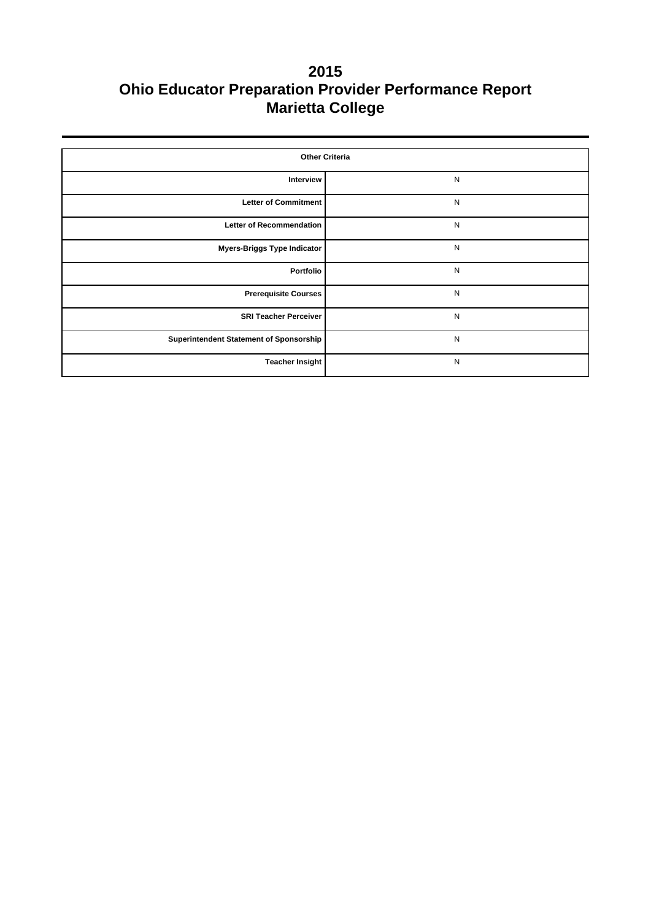| <b>Other Criteria</b>                   |           |  |  |  |  |
|-----------------------------------------|-----------|--|--|--|--|
| Interview                               | N         |  |  |  |  |
| <b>Letter of Commitment</b>             | N         |  |  |  |  |
| <b>Letter of Recommendation</b>         | ${\sf N}$ |  |  |  |  |
| <b>Myers-Briggs Type Indicator</b>      | ${\sf N}$ |  |  |  |  |
| Portfolio                               | ${\sf N}$ |  |  |  |  |
| <b>Prerequisite Courses</b>             | ${\sf N}$ |  |  |  |  |
| <b>SRI Teacher Perceiver</b>            | ${\sf N}$ |  |  |  |  |
| Superintendent Statement of Sponsorship | ${\sf N}$ |  |  |  |  |
| <b>Teacher Insight</b>                  | ${\sf N}$ |  |  |  |  |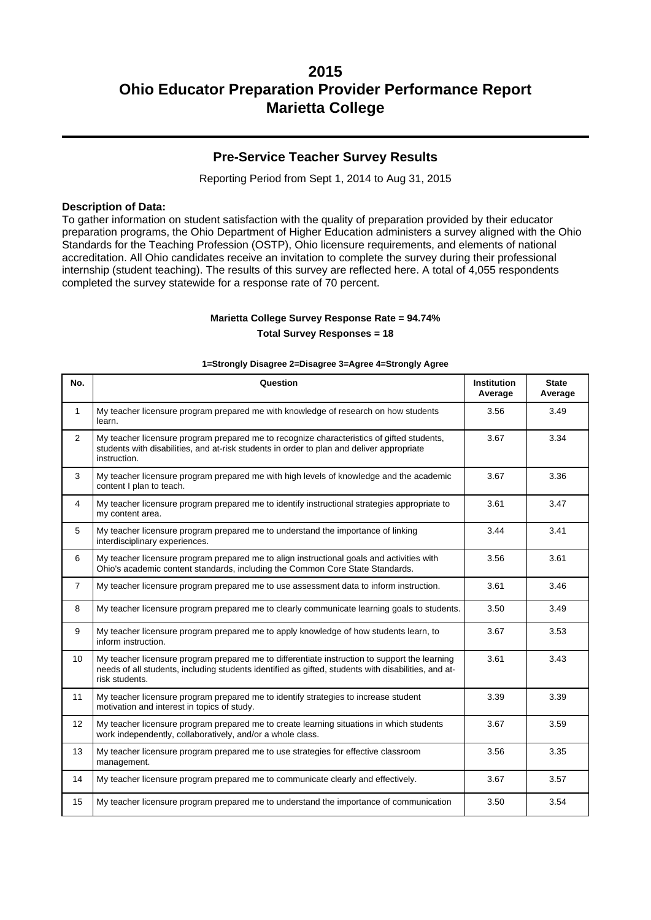### **Pre-Service Teacher Survey Results**

Reporting Period from Sept 1, 2014 to Aug 31, 2015

#### **Description of Data:**

To gather information on student satisfaction with the quality of preparation provided by their educator preparation programs, the Ohio Department of Higher Education administers a survey aligned with the Ohio Standards for the Teaching Profession (OSTP), Ohio licensure requirements, and elements of national accreditation. All Ohio candidates receive an invitation to complete the survey during their professional internship (student teaching). The results of this survey are reflected here. A total of 4,055 respondents completed the survey statewide for a response rate of 70 percent.

#### **Marietta College Survey Response Rate = 94.74%**

**Total Survey Responses = 18**

#### **1=Strongly Disagree 2=Disagree 3=Agree 4=Strongly Agree**

| No.            | Question                                                                                                                                                                                                               | <b>Institution</b><br>Average | <b>State</b><br>Average |
|----------------|------------------------------------------------------------------------------------------------------------------------------------------------------------------------------------------------------------------------|-------------------------------|-------------------------|
| $\mathbf{1}$   | My teacher licensure program prepared me with knowledge of research on how students<br>learn.                                                                                                                          | 3.56                          | 3.49                    |
| $\overline{2}$ | My teacher licensure program prepared me to recognize characteristics of gifted students,<br>students with disabilities, and at-risk students in order to plan and deliver appropriate<br>instruction.                 | 3.67                          | 3.34                    |
| 3              | My teacher licensure program prepared me with high levels of knowledge and the academic<br>content I plan to teach.                                                                                                    | 3.67                          | 3.36                    |
| $\overline{4}$ | My teacher licensure program prepared me to identify instructional strategies appropriate to<br>my content area.                                                                                                       | 3.61                          | 3.47                    |
| 5              | My teacher licensure program prepared me to understand the importance of linking<br>interdisciplinary experiences.                                                                                                     | 3.44                          | 3.41                    |
| 6              | My teacher licensure program prepared me to align instructional goals and activities with<br>Ohio's academic content standards, including the Common Core State Standards.                                             | 3.56                          | 3.61                    |
| $\overline{7}$ | My teacher licensure program prepared me to use assessment data to inform instruction.                                                                                                                                 | 3.61                          | 3.46                    |
| 8              | My teacher licensure program prepared me to clearly communicate learning goals to students.                                                                                                                            | 3.50                          | 3.49                    |
| 9              | My teacher licensure program prepared me to apply knowledge of how students learn, to<br>inform instruction.                                                                                                           | 3.67                          | 3.53                    |
| 10             | My teacher licensure program prepared me to differentiate instruction to support the learning<br>needs of all students, including students identified as gifted, students with disabilities, and at-<br>risk students. | 3.61                          | 3.43                    |
| 11             | My teacher licensure program prepared me to identify strategies to increase student<br>motivation and interest in topics of study.                                                                                     | 3.39                          | 3.39                    |
| 12             | My teacher licensure program prepared me to create learning situations in which students<br>work independently, collaboratively, and/or a whole class.                                                                 | 3.67                          | 3.59                    |
| 13             | My teacher licensure program prepared me to use strategies for effective classroom<br>management.                                                                                                                      | 3.56                          | 3.35                    |
| 14             | My teacher licensure program prepared me to communicate clearly and effectively.                                                                                                                                       | 3.67                          | 3.57                    |
| 15             | My teacher licensure program prepared me to understand the importance of communication                                                                                                                                 | 3.50                          | 3.54                    |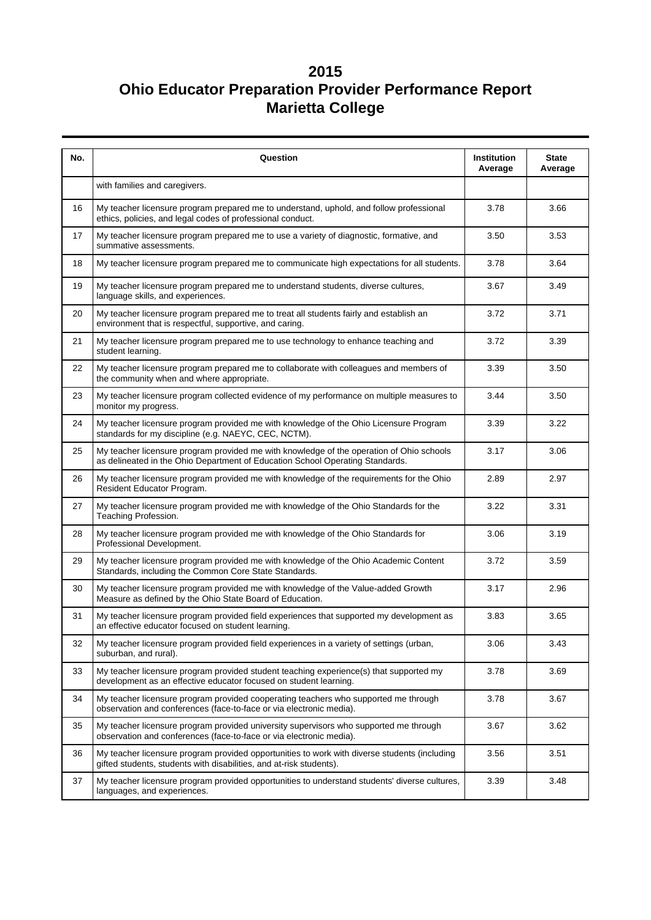| No. | Question                                                                                                                                                                  | Institution<br>Average | <b>State</b><br>Average |
|-----|---------------------------------------------------------------------------------------------------------------------------------------------------------------------------|------------------------|-------------------------|
|     | with families and caregivers.                                                                                                                                             |                        |                         |
| 16  | My teacher licensure program prepared me to understand, uphold, and follow professional<br>ethics, policies, and legal codes of professional conduct.                     | 3.78                   | 3.66                    |
| 17  | My teacher licensure program prepared me to use a variety of diagnostic, formative, and<br>summative assessments.                                                         | 3.50                   | 3.53                    |
| 18  | My teacher licensure program prepared me to communicate high expectations for all students.                                                                               | 3.78                   | 3.64                    |
| 19  | My teacher licensure program prepared me to understand students, diverse cultures,<br>language skills, and experiences.                                                   | 3.67                   | 3.49                    |
| 20  | My teacher licensure program prepared me to treat all students fairly and establish an<br>environment that is respectful, supportive, and caring.                         | 3.72                   | 3.71                    |
| 21  | My teacher licensure program prepared me to use technology to enhance teaching and<br>student learning.                                                                   | 3.72                   | 3.39                    |
| 22  | My teacher licensure program prepared me to collaborate with colleagues and members of<br>the community when and where appropriate.                                       | 3.39                   | 3.50                    |
| 23  | My teacher licensure program collected evidence of my performance on multiple measures to<br>monitor my progress.                                                         | 3.44                   | 3.50                    |
| 24  | My teacher licensure program provided me with knowledge of the Ohio Licensure Program<br>standards for my discipline (e.g. NAEYC, CEC, NCTM).                             | 3.39                   | 3.22                    |
| 25  | My teacher licensure program provided me with knowledge of the operation of Ohio schools<br>as delineated in the Ohio Department of Education School Operating Standards. | 3.17                   | 3.06                    |
| 26  | My teacher licensure program provided me with knowledge of the requirements for the Ohio<br>Resident Educator Program.                                                    | 2.89                   | 2.97                    |
| 27  | My teacher licensure program provided me with knowledge of the Ohio Standards for the<br>Teaching Profession.                                                             | 3.22                   | 3.31                    |
| 28  | My teacher licensure program provided me with knowledge of the Ohio Standards for<br>Professional Development.                                                            | 3.06                   | 3.19                    |
| 29  | My teacher licensure program provided me with knowledge of the Ohio Academic Content<br>Standards, including the Common Core State Standards.                             | 3.72                   | 3.59                    |
| 30  | My teacher licensure program provided me with knowledge of the Value-added Growth<br>Measure as defined by the Ohio State Board of Education.                             | 3.17                   | 2.96                    |
| 31  | My teacher licensure program provided field experiences that supported my development as<br>an effective educator focused on student learning.                            | 3.83                   | 3.65                    |
| 32  | My teacher licensure program provided field experiences in a variety of settings (urban,<br>suburban, and rural).                                                         | 3.06                   | 3.43                    |
| 33  | My teacher licensure program provided student teaching experience(s) that supported my<br>development as an effective educator focused on student learning.               | 3.78                   | 3.69                    |
| 34  | My teacher licensure program provided cooperating teachers who supported me through<br>observation and conferences (face-to-face or via electronic media).                | 3.78                   | 3.67                    |
| 35  | My teacher licensure program provided university supervisors who supported me through<br>observation and conferences (face-to-face or via electronic media).              | 3.67                   | 3.62                    |
| 36  | My teacher licensure program provided opportunities to work with diverse students (including<br>gifted students, students with disabilities, and at-risk students).       | 3.56                   | 3.51                    |
| 37  | My teacher licensure program provided opportunities to understand students' diverse cultures,<br>languages, and experiences.                                              | 3.39                   | 3.48                    |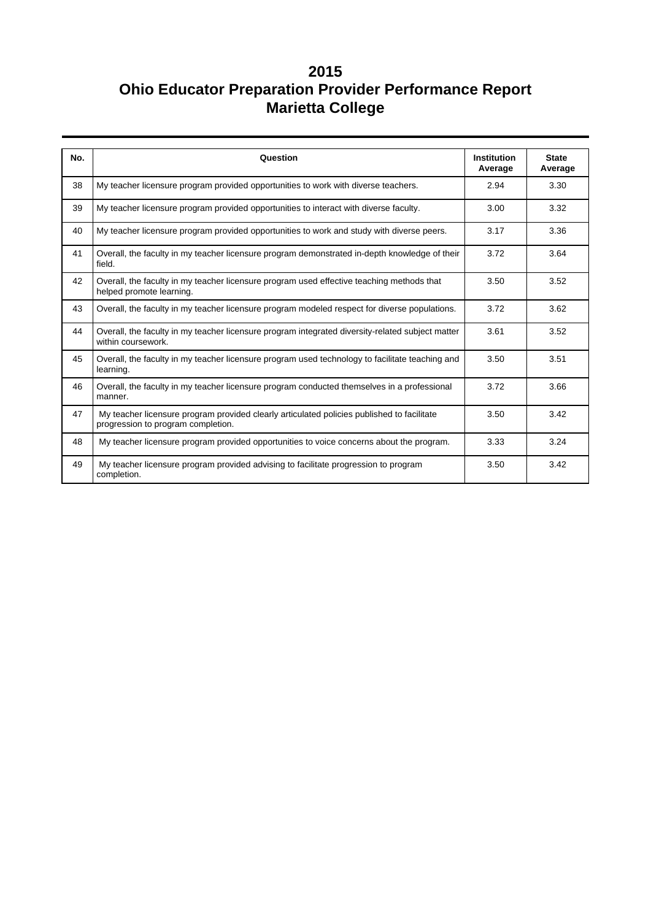| No. | Question                                                                                                                         | <b>Institution</b> | <b>State</b> |
|-----|----------------------------------------------------------------------------------------------------------------------------------|--------------------|--------------|
|     |                                                                                                                                  | Average            | Average      |
| 38  | My teacher licensure program provided opportunities to work with diverse teachers.                                               | 2.94               | 3.30         |
| 39  | My teacher licensure program provided opportunities to interact with diverse faculty.                                            | 3.00               | 3.32         |
| 40  | My teacher licensure program provided opportunities to work and study with diverse peers.                                        | 3.17               | 3.36         |
| 41  | Overall, the faculty in my teacher licensure program demonstrated in-depth knowledge of their<br>field.                          | 3.72               | 3.64         |
| 42  | Overall, the faculty in my teacher licensure program used effective teaching methods that<br>helped promote learning.            | 3.50               | 3.52         |
| 43  | Overall, the faculty in my teacher licensure program modeled respect for diverse populations.                                    |                    | 3.62         |
| 44  | Overall, the faculty in my teacher licensure program integrated diversity-related subject matter<br>within coursework.           | 3.61               | 3.52         |
| 45  | Overall, the faculty in my teacher licensure program used technology to facilitate teaching and<br>learning.                     | 3.50               | 3.51         |
| 46  | Overall, the faculty in my teacher licensure program conducted themselves in a professional<br>manner.                           | 3.72               | 3.66         |
| 47  | My teacher licensure program provided clearly articulated policies published to facilitate<br>progression to program completion. | 3.50               | 3.42         |
| 48  | My teacher licensure program provided opportunities to voice concerns about the program.                                         | 3.33               | 3.24         |
| 49  | My teacher licensure program provided advising to facilitate progression to program<br>completion.                               | 3.50               | 3.42         |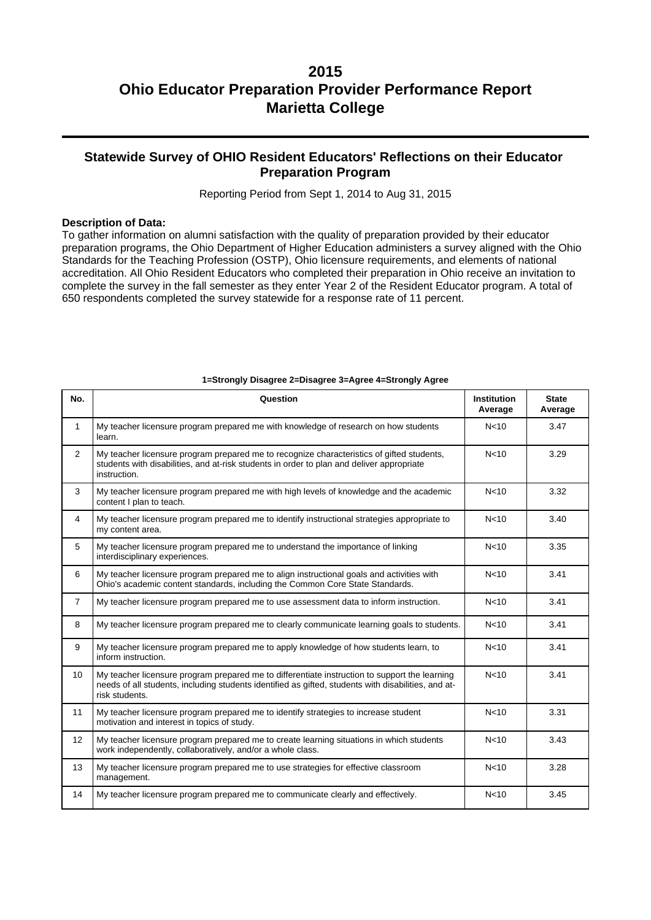## **Statewide Survey of OHIO Resident Educators' Reflections on their Educator Preparation Program**

Reporting Period from Sept 1, 2014 to Aug 31, 2015

#### **Description of Data:**

To gather information on alumni satisfaction with the quality of preparation provided by their educator preparation programs, the Ohio Department of Higher Education administers a survey aligned with the Ohio Standards for the Teaching Profession (OSTP), Ohio licensure requirements, and elements of national accreditation. All Ohio Resident Educators who completed their preparation in Ohio receive an invitation to complete the survey in the fall semester as they enter Year 2 of the Resident Educator program. A total of 650 respondents completed the survey statewide for a response rate of 11 percent.

| No.            | Question                                                                                                                                                                                                               | <b>Institution</b><br>Average | <b>State</b><br>Average |
|----------------|------------------------------------------------------------------------------------------------------------------------------------------------------------------------------------------------------------------------|-------------------------------|-------------------------|
| $\mathbf{1}$   | My teacher licensure program prepared me with knowledge of research on how students<br>learn.                                                                                                                          | N <sub>10</sub>               | 3.47                    |
| $\overline{2}$ | My teacher licensure program prepared me to recognize characteristics of gifted students,<br>students with disabilities, and at-risk students in order to plan and deliver appropriate<br>instruction.                 | N <sub>10</sub>               | 3.29                    |
| 3              | My teacher licensure program prepared me with high levels of knowledge and the academic<br>content I plan to teach.                                                                                                    | N <sub>10</sub>               | 3.32                    |
| $\overline{4}$ | My teacher licensure program prepared me to identify instructional strategies appropriate to<br>my content area.                                                                                                       | N <sub>10</sub>               | 3.40                    |
| 5              | My teacher licensure program prepared me to understand the importance of linking<br>interdisciplinary experiences.                                                                                                     | N <sub>10</sub>               | 3.35                    |
| 6              | My teacher licensure program prepared me to align instructional goals and activities with<br>Ohio's academic content standards, including the Common Core State Standards.                                             | N <sub>10</sub>               | 3.41                    |
| $\overline{7}$ | My teacher licensure program prepared me to use assessment data to inform instruction.                                                                                                                                 | N <sub>10</sub>               | 3.41                    |
| 8              | My teacher licensure program prepared me to clearly communicate learning goals to students.                                                                                                                            | N <sub>10</sub>               | 3.41                    |
| 9              | My teacher licensure program prepared me to apply knowledge of how students learn, to<br>N <sub>10</sub><br>inform instruction.                                                                                        |                               | 3.41                    |
| 10             | My teacher licensure program prepared me to differentiate instruction to support the learning<br>needs of all students, including students identified as gifted, students with disabilities, and at-<br>risk students. | N <sub>10</sub>               | 3.41                    |
| 11             | My teacher licensure program prepared me to identify strategies to increase student<br>motivation and interest in topics of study.                                                                                     | N <sub>10</sub>               | 3.31                    |
| 12             | My teacher licensure program prepared me to create learning situations in which students<br>N <sub>10</sub><br>3.43<br>work independently, collaboratively, and/or a whole class.                                      |                               |                         |
| 13             | My teacher licensure program prepared me to use strategies for effective classroom<br>management.                                                                                                                      | N <sub>10</sub>               | 3.28                    |
| 14             | My teacher licensure program prepared me to communicate clearly and effectively.                                                                                                                                       | N <sub>10</sub>               | 3.45                    |

#### **1=Strongly Disagree 2=Disagree 3=Agree 4=Strongly Agree**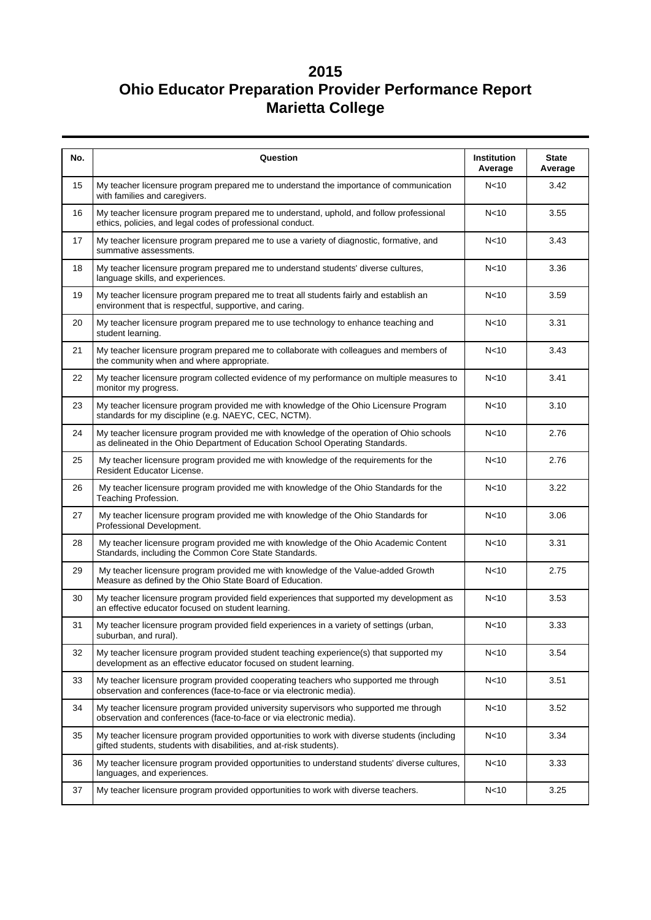| No. | Question                                                                                                                                                                                     | <b>Institution</b><br>Average | <b>State</b><br>Average |  |  |
|-----|----------------------------------------------------------------------------------------------------------------------------------------------------------------------------------------------|-------------------------------|-------------------------|--|--|
| 15  | N <sub>10</sub><br>My teacher licensure program prepared me to understand the importance of communication<br>with families and caregivers.                                                   |                               |                         |  |  |
| 16  | My teacher licensure program prepared me to understand, uphold, and follow professional<br>ethics, policies, and legal codes of professional conduct.                                        | N <sub>10</sub>               | 3.55                    |  |  |
| 17  | My teacher licensure program prepared me to use a variety of diagnostic, formative, and<br>summative assessments.                                                                            | N <sub>10</sub>               | 3.43                    |  |  |
| 18  | My teacher licensure program prepared me to understand students' diverse cultures,<br>language skills, and experiences.                                                                      | N <sub>10</sub>               | 3.36                    |  |  |
| 19  | My teacher licensure program prepared me to treat all students fairly and establish an<br>environment that is respectful, supportive, and caring.                                            | N <sub>10</sub>               | 3.59                    |  |  |
| 20  | My teacher licensure program prepared me to use technology to enhance teaching and<br>student learning.                                                                                      | N <sub>10</sub>               | 3.31                    |  |  |
| 21  | My teacher licensure program prepared me to collaborate with colleagues and members of<br>the community when and where appropriate.                                                          | N <sub>10</sub>               | 3.43                    |  |  |
| 22  | My teacher licensure program collected evidence of my performance on multiple measures to<br>monitor my progress.                                                                            | N <sub>10</sub>               | 3.41                    |  |  |
| 23  | My teacher licensure program provided me with knowledge of the Ohio Licensure Program<br>N <sub>10</sub><br>standards for my discipline (e.g. NAEYC, CEC, NCTM).                             |                               |                         |  |  |
| 24  | N <sub>10</sub><br>My teacher licensure program provided me with knowledge of the operation of Ohio schools<br>as delineated in the Ohio Department of Education School Operating Standards. |                               |                         |  |  |
| 25  | My teacher licensure program provided me with knowledge of the requirements for the<br>Resident Educator License.                                                                            | N <sub>10</sub>               | 2.76                    |  |  |
| 26  | My teacher licensure program provided me with knowledge of the Ohio Standards for the<br>Teaching Profession.                                                                                | N <sub>10</sub>               | 3.22                    |  |  |
| 27  | My teacher licensure program provided me with knowledge of the Ohio Standards for<br>Professional Development.                                                                               | N <sub>10</sub>               | 3.06                    |  |  |
| 28  | My teacher licensure program provided me with knowledge of the Ohio Academic Content<br>N <sub>10</sub><br>Standards, including the Common Core State Standards.                             |                               |                         |  |  |
| 29  | My teacher licensure program provided me with knowledge of the Value-added Growth<br>Measure as defined by the Ohio State Board of Education.                                                | N <sub>10</sub>               | 2.75                    |  |  |
| 30  | My teacher licensure program provided field experiences that supported my development as<br>an effective educator focused on student learning.                                               | N <sub>10</sub>               | 3.53                    |  |  |
| 31  | My teacher licensure program provided field experiences in a variety of settings (urban,<br>suburban, and rural).                                                                            | N <sub>10</sub>               | 3.33                    |  |  |
| 32  | My teacher licensure program provided student teaching experience(s) that supported my<br>development as an effective educator focused on student learning.                                  | N <sub>10</sub>               | 3.54                    |  |  |
| 33  | N <sub>10</sub><br>My teacher licensure program provided cooperating teachers who supported me through<br>observation and conferences (face-to-face or via electronic media).                |                               | 3.51                    |  |  |
| 34  | My teacher licensure program provided university supervisors who supported me through<br>observation and conferences (face-to-face or via electronic media).                                 | N < 10                        | 3.52                    |  |  |
| 35  | My teacher licensure program provided opportunities to work with diverse students (including<br>gifted students, students with disabilities, and at-risk students).                          | N < 10                        | 3.34                    |  |  |
| 36  | My teacher licensure program provided opportunities to understand students' diverse cultures,<br>languages, and experiences.                                                                 | N < 10                        | 3.33                    |  |  |
| 37  | My teacher licensure program provided opportunities to work with diverse teachers.                                                                                                           | N <sub>10</sub>               | 3.25                    |  |  |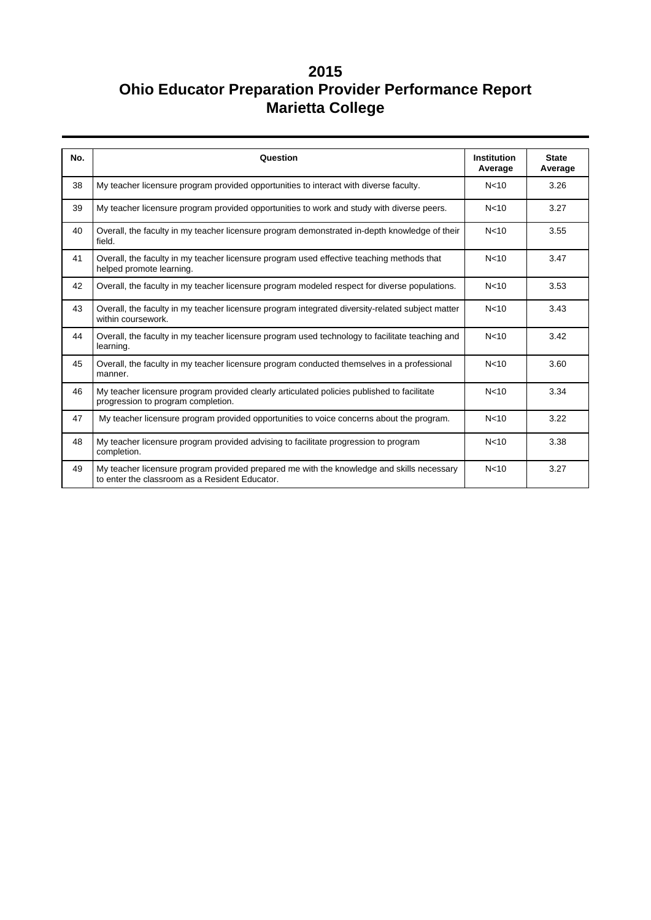| No. | Question                                                                                                                                    | <b>Institution</b><br>Average | <b>State</b><br>Average |  |  |
|-----|---------------------------------------------------------------------------------------------------------------------------------------------|-------------------------------|-------------------------|--|--|
| 38  | My teacher licensure program provided opportunities to interact with diverse faculty.                                                       | N <sub>10</sub>               | 3.26                    |  |  |
| 39  | My teacher licensure program provided opportunities to work and study with diverse peers.                                                   | N <sub>10</sub>               | 3.27                    |  |  |
| 40  | Overall, the faculty in my teacher licensure program demonstrated in-depth knowledge of their<br>field.                                     | N <sub>10</sub>               | 3.55                    |  |  |
| 41  | Overall, the faculty in my teacher licensure program used effective teaching methods that<br>N <sub>10</sub><br>helped promote learning.    |                               |                         |  |  |
| 42  | Overall, the faculty in my teacher licensure program modeled respect for diverse populations.                                               | N <sub>10</sub>               | 3.53                    |  |  |
| 43  | Overall, the faculty in my teacher licensure program integrated diversity-related subject matter<br>within coursework.                      |                               | 3.43                    |  |  |
| 44  | Overall, the faculty in my teacher licensure program used technology to facilitate teaching and<br>learning.                                |                               | 3.42                    |  |  |
| 45  | Overall, the faculty in my teacher licensure program conducted themselves in a professional<br>manner.                                      |                               | 3.60                    |  |  |
| 46  | My teacher licensure program provided clearly articulated policies published to facilitate<br>progression to program completion.            | N <sub>10</sub>               | 3.34                    |  |  |
| 47  | My teacher licensure program provided opportunities to voice concerns about the program.                                                    | N <sub>10</sub>               | 3.22                    |  |  |
| 48  | My teacher licensure program provided advising to facilitate progression to program<br>completion.                                          | N <sub>10</sub>               | 3.38                    |  |  |
| 49  | My teacher licensure program provided prepared me with the knowledge and skills necessary<br>to enter the classroom as a Resident Educator. | N <sub>10</sub>               | 3.27                    |  |  |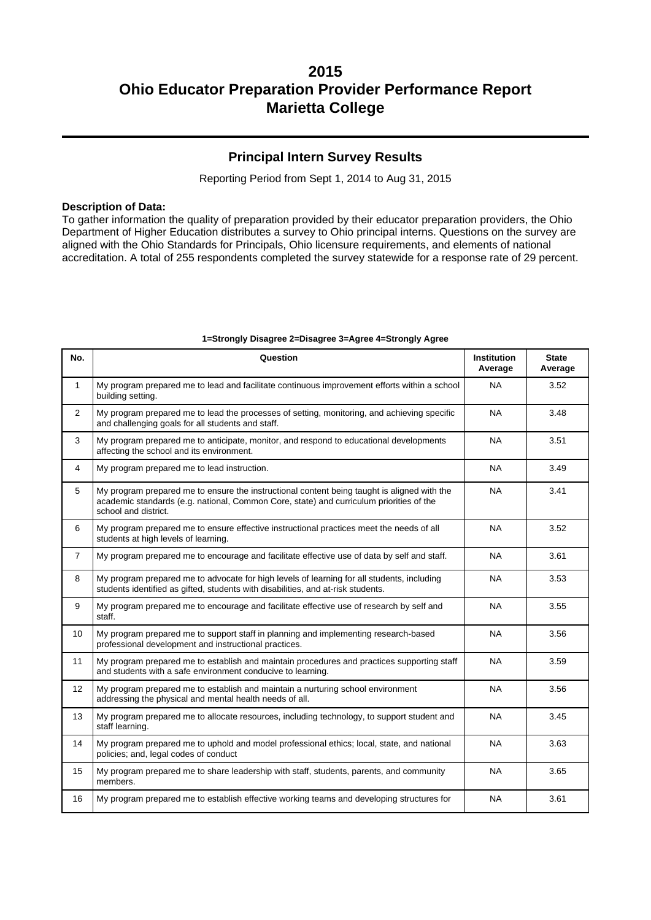### **Principal Intern Survey Results**

Reporting Period from Sept 1, 2014 to Aug 31, 2015

#### **Description of Data:**

To gather information the quality of preparation provided by their educator preparation providers, the Ohio Department of Higher Education distributes a survey to Ohio principal interns. Questions on the survey are aligned with the Ohio Standards for Principals, Ohio licensure requirements, and elements of national accreditation. A total of 255 respondents completed the survey statewide for a response rate of 29 percent.

| No.             | Question                                                                                                                                                                                                       | <b>Institution</b><br>Average | <b>State</b><br>Average |  |  |
|-----------------|----------------------------------------------------------------------------------------------------------------------------------------------------------------------------------------------------------------|-------------------------------|-------------------------|--|--|
| $\mathbf{1}$    | My program prepared me to lead and facilitate continuous improvement efforts within a school<br>building setting.                                                                                              | <b>NA</b>                     | 3.52                    |  |  |
| $\overline{2}$  | My program prepared me to lead the processes of setting, monitoring, and achieving specific<br>and challenging goals for all students and staff.                                                               | <b>NA</b>                     | 3.48                    |  |  |
| 3               | My program prepared me to anticipate, monitor, and respond to educational developments<br>affecting the school and its environment.                                                                            | <b>NA</b>                     | 3.51                    |  |  |
| 4               | My program prepared me to lead instruction.                                                                                                                                                                    | <b>NA</b>                     | 3.49                    |  |  |
| 5               | My program prepared me to ensure the instructional content being taught is aligned with the<br>academic standards (e.g. national, Common Core, state) and curriculum priorities of the<br>school and district. | <b>NA</b>                     | 3.41                    |  |  |
| 6               | My program prepared me to ensure effective instructional practices meet the needs of all<br><b>NA</b><br>students at high levels of learning.                                                                  |                               |                         |  |  |
| $\overline{7}$  | My program prepared me to encourage and facilitate effective use of data by self and staff.                                                                                                                    | <b>NA</b>                     | 3.61                    |  |  |
| 8               | My program prepared me to advocate for high levels of learning for all students, including<br>students identified as gifted, students with disabilities, and at-risk students.                                 | <b>NA</b>                     | 3.53                    |  |  |
| 9               | My program prepared me to encourage and facilitate effective use of research by self and<br><b>NA</b><br>staff.                                                                                                |                               | 3.55                    |  |  |
| 10              | My program prepared me to support staff in planning and implementing research-based<br><b>NA</b><br>professional development and instructional practices.                                                      |                               | 3.56                    |  |  |
| 11              | My program prepared me to establish and maintain procedures and practices supporting staff<br>and students with a safe environment conducive to learning.                                                      | <b>NA</b>                     | 3.59                    |  |  |
| 12 <sup>2</sup> | My program prepared me to establish and maintain a nurturing school environment<br>addressing the physical and mental health needs of all.                                                                     | <b>NA</b>                     | 3.56                    |  |  |
| 13              | <b>NA</b><br>My program prepared me to allocate resources, including technology, to support student and<br>staff learning.                                                                                     |                               |                         |  |  |
| 14              | My program prepared me to uphold and model professional ethics; local, state, and national<br>policies; and, legal codes of conduct                                                                            | <b>NA</b>                     | 3.63                    |  |  |
| 15              | My program prepared me to share leadership with staff, students, parents, and community<br>members.                                                                                                            | <b>NA</b>                     | 3.65                    |  |  |
| 16              | My program prepared me to establish effective working teams and developing structures for                                                                                                                      | <b>NA</b>                     | 3.61                    |  |  |

#### **1=Strongly Disagree 2=Disagree 3=Agree 4=Strongly Agree**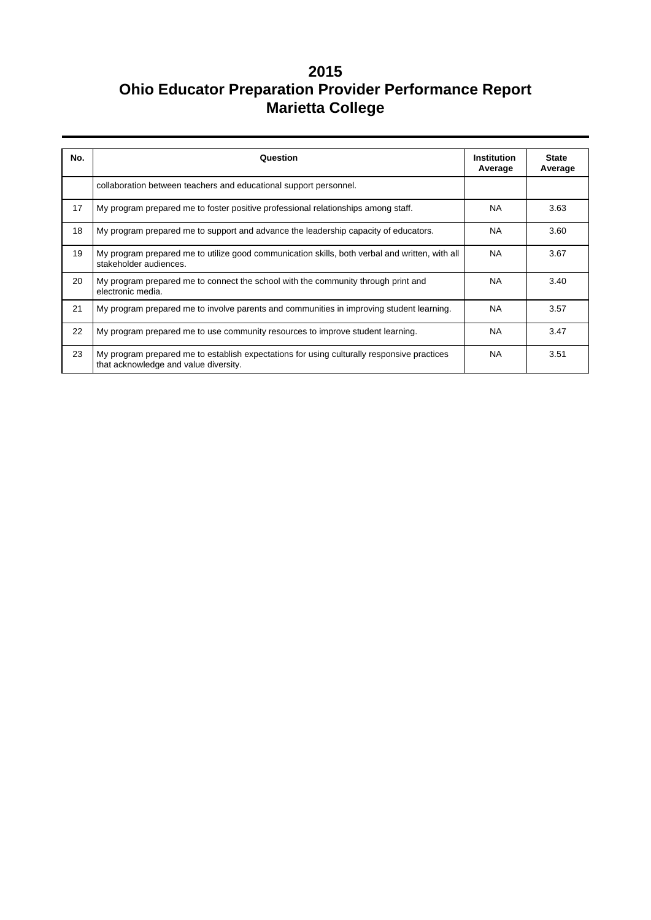| No. | Question                                                                                                                            | <b>Institution</b><br>Average | <b>State</b><br>Average |
|-----|-------------------------------------------------------------------------------------------------------------------------------------|-------------------------------|-------------------------|
|     | collaboration between teachers and educational support personnel.                                                                   |                               |                         |
| 17  | My program prepared me to foster positive professional relationships among staff.                                                   | <b>NA</b>                     | 3.63                    |
| 18  | My program prepared me to support and advance the leadership capacity of educators.                                                 | <b>NA</b>                     | 3.60                    |
| 19  | My program prepared me to utilize good communication skills, both verbal and written, with all<br>stakeholder audiences.            | <b>NA</b>                     | 3.67                    |
| 20  | My program prepared me to connect the school with the community through print and<br>electronic media.                              | <b>NA</b>                     | 3.40                    |
| 21  | My program prepared me to involve parents and communities in improving student learning.                                            | <b>NA</b>                     | 3.57                    |
| 22  | My program prepared me to use community resources to improve student learning.                                                      | <b>NA</b>                     | 3.47                    |
| 23  | My program prepared me to establish expectations for using culturally responsive practices<br>that acknowledge and value diversity. | <b>NA</b>                     | 3.51                    |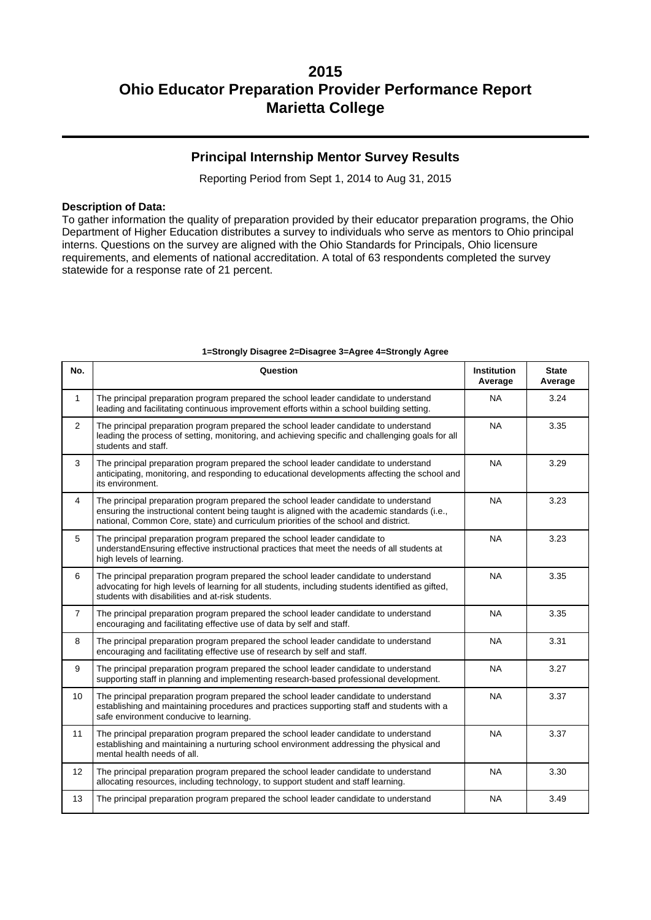### **Principal Internship Mentor Survey Results**

Reporting Period from Sept 1, 2014 to Aug 31, 2015

#### **Description of Data:**

To gather information the quality of preparation provided by their educator preparation programs, the Ohio Department of Higher Education distributes a survey to individuals who serve as mentors to Ohio principal interns. Questions on the survey are aligned with the Ohio Standards for Principals, Ohio licensure requirements, and elements of national accreditation. A total of 63 respondents completed the survey statewide for a response rate of 21 percent.

| No.            | Question                                                                                                                                                                                                                                                                                  | <b>Institution</b><br>Average | <b>State</b><br>Average |  |  |
|----------------|-------------------------------------------------------------------------------------------------------------------------------------------------------------------------------------------------------------------------------------------------------------------------------------------|-------------------------------|-------------------------|--|--|
| $\mathbf{1}$   | The principal preparation program prepared the school leader candidate to understand<br><b>NA</b><br>leading and facilitating continuous improvement efforts within a school building setting.                                                                                            |                               |                         |  |  |
| 2              | The principal preparation program prepared the school leader candidate to understand<br>leading the process of setting, monitoring, and achieving specific and challenging goals for all<br>students and staff.                                                                           | <b>NA</b>                     | 3.35                    |  |  |
| 3              | The principal preparation program prepared the school leader candidate to understand<br>anticipating, monitoring, and responding to educational developments affecting the school and<br>its environment.                                                                                 | <b>NA</b>                     | 3.29                    |  |  |
| 4              | <b>NA</b><br>The principal preparation program prepared the school leader candidate to understand<br>ensuring the instructional content being taught is aligned with the academic standards (i.e.,<br>national, Common Core, state) and curriculum priorities of the school and district. |                               | 3.23                    |  |  |
| 5              | The principal preparation program prepared the school leader candidate to<br><b>NA</b><br>understandEnsuring effective instructional practices that meet the needs of all students at<br>high levels of learning.                                                                         |                               | 3.23                    |  |  |
| 6              | The principal preparation program prepared the school leader candidate to understand<br><b>NA</b><br>advocating for high levels of learning for all students, including students identified as gifted,<br>students with disabilities and at-risk students.                                |                               | 3.35                    |  |  |
| $\overline{7}$ | The principal preparation program prepared the school leader candidate to understand<br>encouraging and facilitating effective use of data by self and staff.                                                                                                                             | <b>NA</b>                     | 3.35                    |  |  |
| 8              | The principal preparation program prepared the school leader candidate to understand<br>encouraging and facilitating effective use of research by self and staff.                                                                                                                         | <b>NA</b>                     | 3.31                    |  |  |
| 9              | The principal preparation program prepared the school leader candidate to understand<br>supporting staff in planning and implementing research-based professional development.                                                                                                            | <b>NA</b>                     | 3.27                    |  |  |
| 10             | The principal preparation program prepared the school leader candidate to understand<br>establishing and maintaining procedures and practices supporting staff and students with a<br>safe environment conducive to learning.                                                             | <b>NA</b>                     | 3.37                    |  |  |
| 11             | The principal preparation program prepared the school leader candidate to understand<br>establishing and maintaining a nurturing school environment addressing the physical and<br>mental health needs of all.                                                                            | <b>NA</b>                     | 3.37                    |  |  |
| 12             | The principal preparation program prepared the school leader candidate to understand<br>allocating resources, including technology, to support student and staff learning.                                                                                                                | <b>NA</b>                     | 3.30                    |  |  |
| 13             | The principal preparation program prepared the school leader candidate to understand                                                                                                                                                                                                      | <b>NA</b>                     | 3.49                    |  |  |

#### **1=Strongly Disagree 2=Disagree 3=Agree 4=Strongly Agree**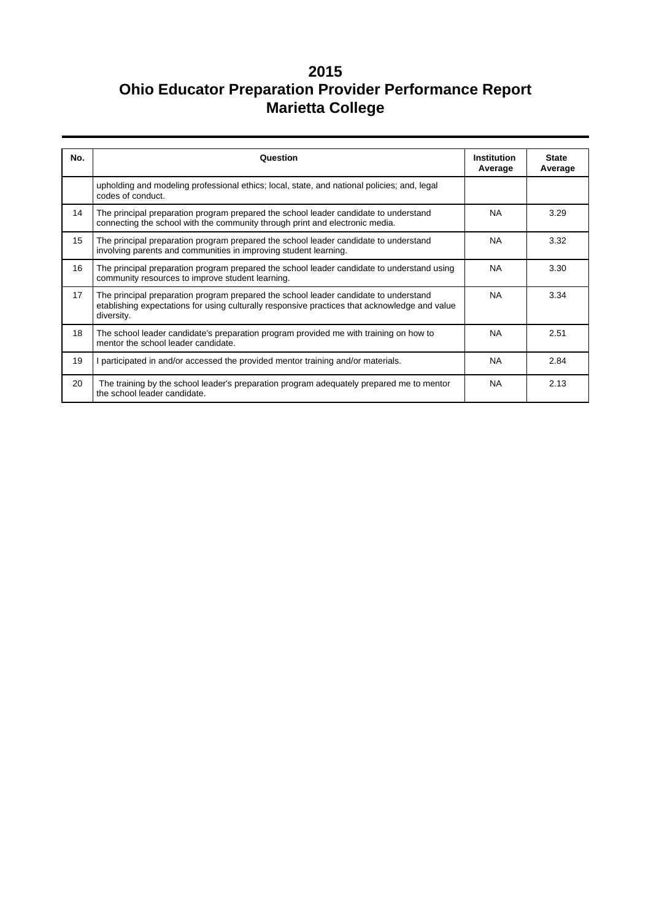| No. | Question                                                                                                                                                                                            | Institution<br>Average | <b>State</b><br>Average |  |  |
|-----|-----------------------------------------------------------------------------------------------------------------------------------------------------------------------------------------------------|------------------------|-------------------------|--|--|
|     | upholding and modeling professional ethics; local, state, and national policies; and, legal<br>codes of conduct.                                                                                    |                        |                         |  |  |
| 14  | The principal preparation program prepared the school leader candidate to understand<br>connecting the school with the community through print and electronic media.                                | <b>NA</b>              | 3.29                    |  |  |
| 15  | The principal preparation program prepared the school leader candidate to understand<br>involving parents and communities in improving student learning.                                            | NA.                    | 3.32                    |  |  |
| 16  | The principal preparation program prepared the school leader candidate to understand using<br>NA.<br>community resources to improve student learning.                                               |                        |                         |  |  |
| 17  | The principal preparation program prepared the school leader candidate to understand<br>etablishing expectations for using culturally responsive practices that acknowledge and value<br>diversity. | <b>NA</b>              | 3.34                    |  |  |
| 18  | The school leader candidate's preparation program provided me with training on how to<br>mentor the school leader candidate.                                                                        | <b>NA</b>              | 2.51                    |  |  |
| 19  | participated in and/or accessed the provided mentor training and/or materials.                                                                                                                      | <b>NA</b>              | 2.84                    |  |  |
| 20  | The training by the school leader's preparation program adequately prepared me to mentor<br>the school leader candidate.                                                                            | <b>NA</b>              | 2.13                    |  |  |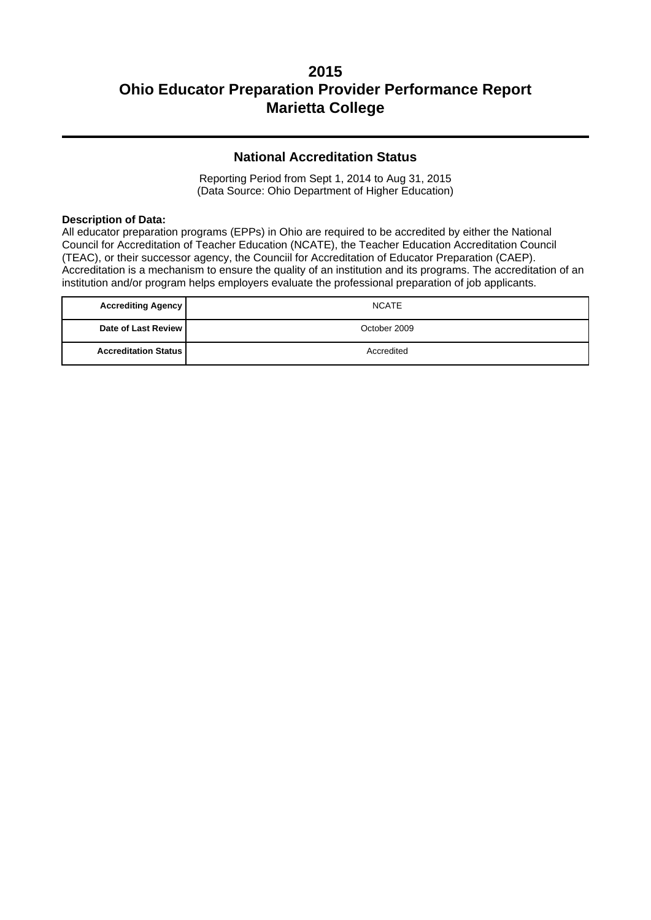## **National Accreditation Status**

Reporting Period from Sept 1, 2014 to Aug 31, 2015 (Data Source: Ohio Department of Higher Education)

#### **Description of Data:**

All educator preparation programs (EPPs) in Ohio are required to be accredited by either the National Council for Accreditation of Teacher Education (NCATE), the Teacher Education Accreditation Council (TEAC), or their successor agency, the Counciil for Accreditation of Educator Preparation (CAEP). Accreditation is a mechanism to ensure the quality of an institution and its programs. The accreditation of an institution and/or program helps employers evaluate the professional preparation of job applicants.

| <b>Accrediting Agency</b>     | <b>NCATE</b> |
|-------------------------------|--------------|
| Date of Last Review           | October 2009 |
| <b>Accreditation Status  </b> | Accredited   |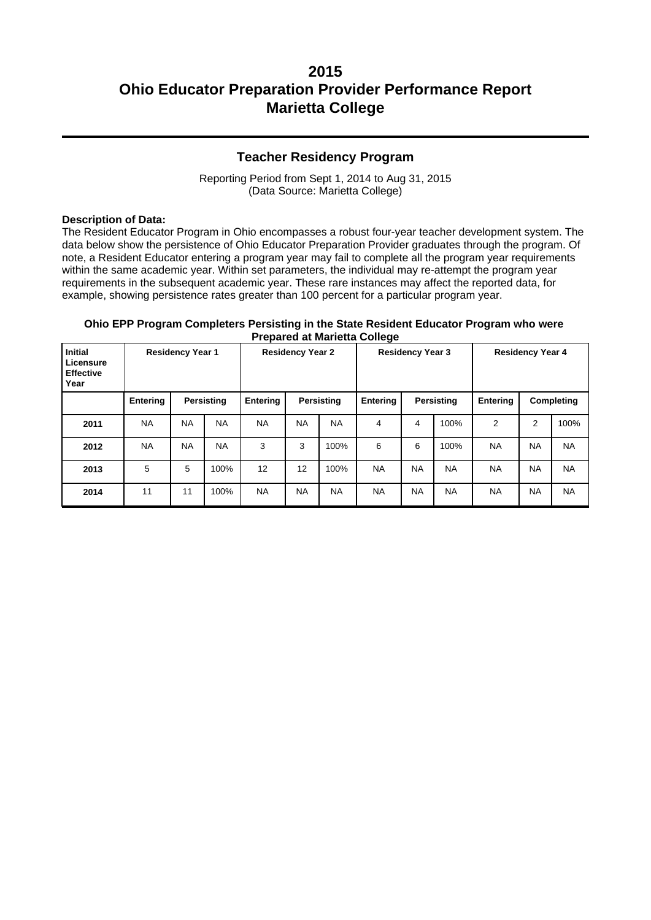## **Teacher Residency Program**

Reporting Period from Sept 1, 2014 to Aug 31, 2015 (Data Source: Marietta College)

#### **Description of Data:**

The Resident Educator Program in Ohio encompasses a robust four-year teacher development system. The data below show the persistence of Ohio Educator Preparation Provider graduates through the program. Of note, a Resident Educator entering a program year may fail to complete all the program year requirements within the same academic year. Within set parameters, the individual may re-attempt the program year requirements in the subsequent academic year. These rare instances may affect the reported data, for example, showing persistence rates greater than 100 percent for a particular program year.

#### **Ohio EPP Program Completers Persisting in the State Resident Educator Program who were Prepared at Marietta College**

| <b>Initial</b><br><b>Residency Year 1</b><br>Licensure<br><b>Effective</b><br>Year |                 | <b>Residency Year 2</b> |            | - ສ-<br><b>Residency Year 3</b> |            |           | <b>Residency Year 4</b>       |           |           |                |            |           |
|------------------------------------------------------------------------------------|-----------------|-------------------------|------------|---------------------------------|------------|-----------|-------------------------------|-----------|-----------|----------------|------------|-----------|
|                                                                                    | <b>Entering</b> |                         | Persisting | Entering                        | Persisting |           | <b>Entering</b><br>Persisting |           | Entering  |                | Completing |           |
| 2011                                                                               | <b>NA</b>       | <b>NA</b>               | <b>NA</b>  | <b>NA</b>                       | <b>NA</b>  | <b>NA</b> | 4                             | 4         | 100%      | $\overline{2}$ | 2          | 100%      |
| 2012                                                                               | <b>NA</b>       | <b>NA</b>               | <b>NA</b>  | 3                               | 3          | 100%      | 6                             | 6         | 100%      | <b>NA</b>      | <b>NA</b>  | <b>NA</b> |
| 2013                                                                               | 5               | 5                       | 100%       | 12                              | 12         | 100%      | <b>NA</b>                     | <b>NA</b> | <b>NA</b> | <b>NA</b>      | <b>NA</b>  | <b>NA</b> |
| 2014                                                                               | 11              | 11                      | 100%       | <b>NA</b>                       | <b>NA</b>  | <b>NA</b> | <b>NA</b>                     | <b>NA</b> | <b>NA</b> | <b>NA</b>      | <b>NA</b>  | <b>NA</b> |